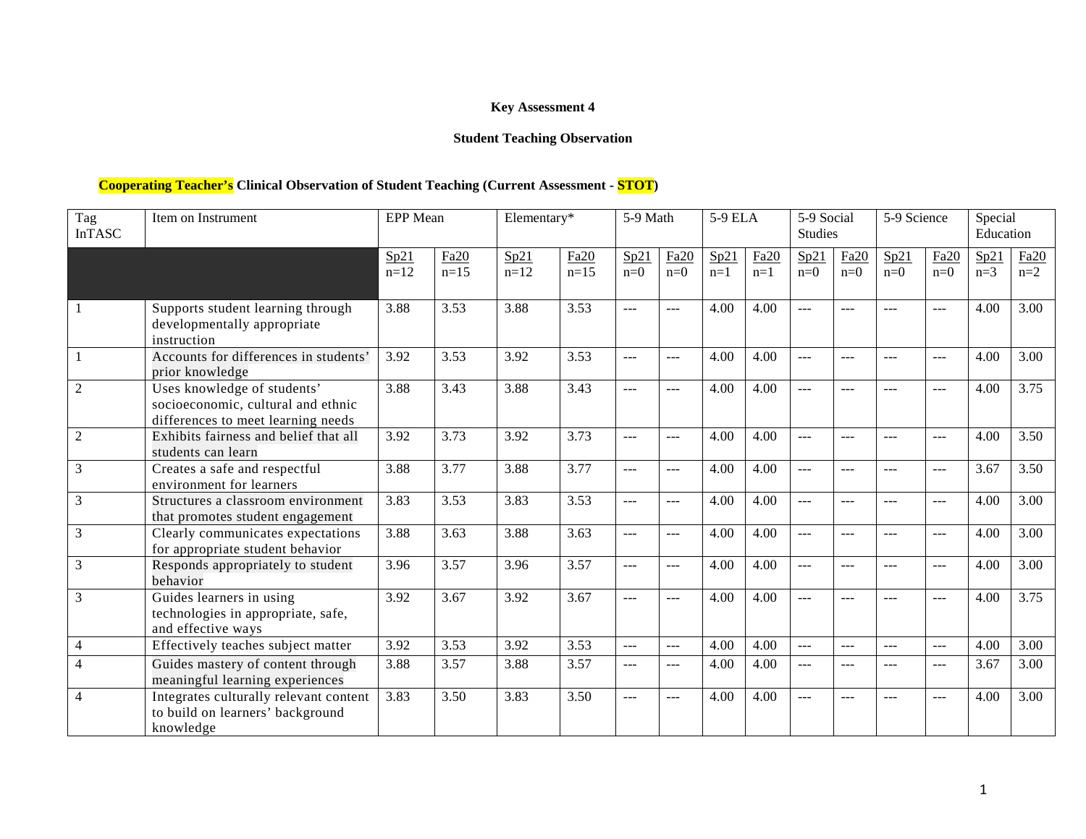# **Key Assessment 4**

# **Student Teaching Observation**

# **Cooperating Teacher's Clinical Observation of Student Teaching (Current Assessment - STOT)**

| Tag<br><b>InTASC</b> | Item on Instrument                                                                                      | <b>EPP</b> Mean |                | Elementary*    |                | 5-9 Math       |                | 5-9 ELA       |               | 5-9 Social<br><b>Studies</b> |               | 5-9 Science   |                | Special<br>Education |               |
|----------------------|---------------------------------------------------------------------------------------------------------|-----------------|----------------|----------------|----------------|----------------|----------------|---------------|---------------|------------------------------|---------------|---------------|----------------|----------------------|---------------|
|                      |                                                                                                         | Sp21<br>$n=12$  | Fa20<br>$n=15$ | Sp21<br>$n=12$ | Fa20<br>$n=15$ | Sp21<br>$n=0$  | Fa20<br>$n=0$  | Sp21<br>$n=1$ | Fa20<br>$n=1$ | Sp21<br>$n=0$                | Fa20<br>$n=0$ | Sp21<br>$n=0$ | Fa20<br>$n=0$  | Sp21<br>$n=3$        | Fa20<br>$n=2$ |
|                      | Supports student learning through<br>developmentally appropriate<br>instruction                         | 3.88            | 3.53           | 3.88           | 3.53           | $\overline{a}$ | $\overline{a}$ | 4.00          | 4.00          | $\overline{a}$               | $---$         | $---$         | $\overline{a}$ | 4.00                 | 3.00          |
|                      | Accounts for differences in students'<br>prior knowledge                                                | 3.92            | 3.53           | 3.92           | 3.53           | $---$          | $\frac{1}{2}$  | 4.00          | 4.00          | $\overline{a}$               | $---$         | $---$         | $---$          | 4.00                 | 3.00          |
| $\overline{2}$       | Uses knowledge of students'<br>socioeconomic, cultural and ethnic<br>differences to meet learning needs | 3.88            | 3.43           | 3.88           | 3.43           | $---$          | $---$          | 4.00          | 4.00          | $---$                        | ---           | ---           | $---$          | 4.00                 | 3.75          |
| $\overline{2}$       | Exhibits fairness and belief that all<br>students can learn                                             | 3.92            | 3.73           | 3.92           | 3.73           | $---$          | $---$          | 4.00          | 4.00          | $---$                        | $---$         | $---$         | $-$            | 4.00                 | 3.50          |
| 3                    | Creates a safe and respectful<br>environment for learners                                               | 3.88            | 3.77           | 3.88           | 3.77           | $\frac{1}{2}$  | $---$          | 4.00          | 4.00          | $\overline{a}$               | ---           | $---$         | ---            | 3.67                 | 3.50          |
| 3                    | Structures a classroom environment<br>that promotes student engagement                                  | 3.83            | 3.53           | 3.83           | 3.53           | $---$          | $---$          | 4.00          | 4.00          | $---$                        | $---$         | $---$         | $-$            | 4.00                 | 3.00          |
| $\mathfrak{Z}$       | Clearly communicates expectations<br>for appropriate student behavior                                   | 3.88            | 3.63           | 3.88           | 3.63           | $\frac{1}{2}$  | $\frac{1}{2}$  | 4.00          | 4.00          | $---$                        | $---$         | $---$         | $---$          | 4.00                 | 3.00          |
| 3                    | Responds appropriately to student<br>behavior                                                           | 3.96            | 3.57           | 3.96           | 3.57           | $---$          | $---$          | 4.00          | 4.00          | $---$                        | ---           | $---$         | $---$          | 4.00                 | 3.00          |
| 3                    | Guides learners in using<br>technologies in appropriate, safe,<br>and effective ways                    | 3.92            | 3.67           | 3.92           | 3.67           | $---$          | $---$          | 4.00          | 4.00          | $---$                        | $---$         | ---           | $-$            | 4.00                 | 3.75          |
| $\overline{4}$       | Effectively teaches subject matter                                                                      | 3.92            | 3.53           | 3.92           | 3.53           | $---$          | $---$          | 4.00          | 4.00          | $\overline{a}$               | ---           | $---$         | ---            | 4.00                 | 3.00          |
| $\overline{4}$       | Guides mastery of content through<br>meaningful learning experiences                                    | 3.88            | 3.57           | 3.88           | 3.57           | $---$          | $---$          | 4.00          | 4.00          | $---$                        | ---           | ---           | $---$          | 3.67                 | 3.00          |
| $\overline{4}$       | Integrates culturally relevant content<br>to build on learners' background<br>knowledge                 | 3.83            | 3.50           | 3.83           | 3.50           | $---$          | $---$          | 4.00          | 4.00          | $---$                        | $---$         | ---           | $---$          | 4.00                 | 3.00          |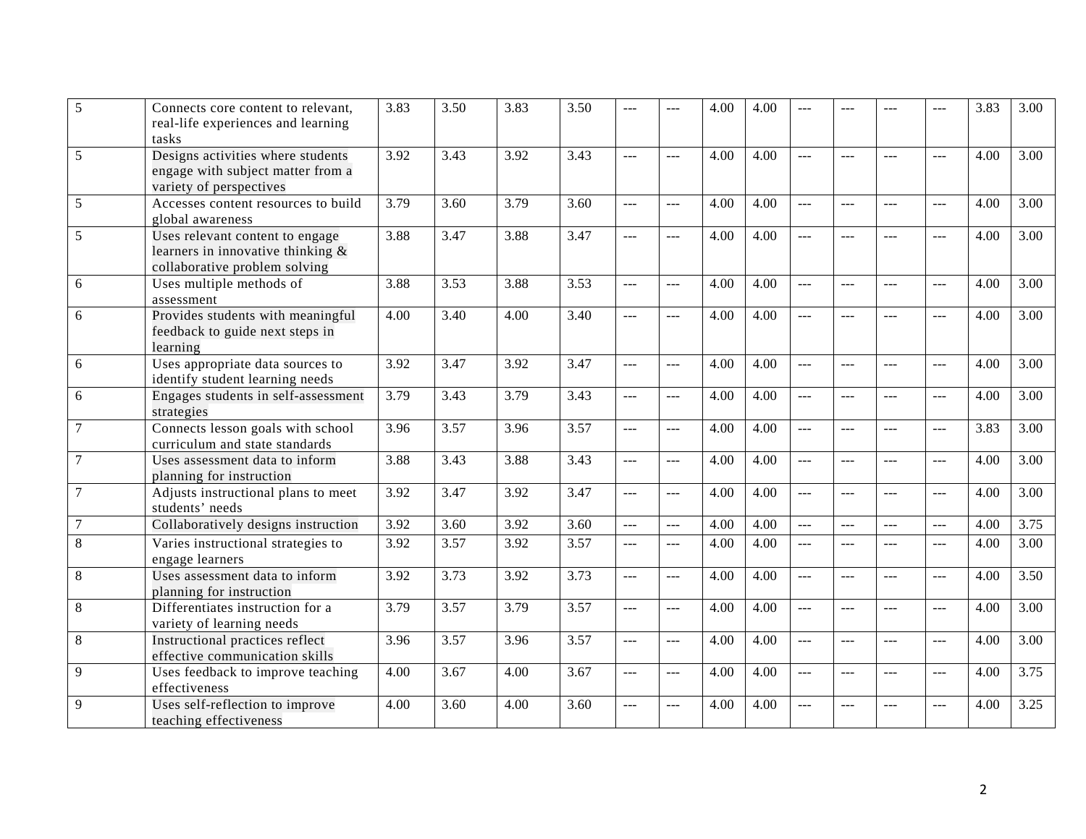| 5              | Connects core content to relevant,<br>real-life experiences and learning<br>tasks                        | 3.83 | 3.50 | 3.83 | 3.50 | $---$          | ---            | 4.00 | 4.00 |                |       |                      | $---$                | 3.83 | 3.00              |
|----------------|----------------------------------------------------------------------------------------------------------|------|------|------|------|----------------|----------------|------|------|----------------|-------|----------------------|----------------------|------|-------------------|
| 5              | Designs activities where students<br>engage with subject matter from a<br>variety of perspectives        | 3.92 | 3.43 | 3.92 | 3.43 | $\sim$         | $---$          | 4.00 | 4.00 | ---            | $ -$  | $---$                | $---$                | 4.00 | 3.00              |
| 5              | Accesses content resources to build<br>global awareness                                                  | 3.79 | 3.60 | 3.79 | 3.60 | $\overline{a}$ | $\overline{a}$ | 4.00 | 4.00 | $\overline{a}$ | ---   | $\overline{a}$       | $\overline{a}$       | 4.00 | 3.00              |
| 5              | Uses relevant content to engage<br>learners in innovative thinking $\&$<br>collaborative problem solving | 3.88 | 3.47 | 3.88 | 3.47 | $\sim$         | $---$          | 4.00 | 4.00 | $---$          | $---$ | $---$                | $---$                | 4.00 | 3.00              |
| 6              | Uses multiple methods of<br>assessment                                                                   | 3.88 | 3.53 | 3.88 | 3.53 | $\overline{a}$ | ---            | 4.00 | 4.00 | ---            | ---   | $\overline{a}$       | $\overline{a}$       | 4.00 | 3.00              |
| 6              | Provides students with meaningful<br>feedback to guide next steps in<br>learning                         | 4.00 | 3.40 | 4.00 | 3.40 | $-$            | ---            | 4.00 | 4.00 | $---$          | ---   | $ -$                 | $-$                  | 4.00 | 3.00              |
| 6              | Uses appropriate data sources to<br>identify student learning needs                                      | 3.92 | 3.47 | 3.92 | 3.47 | $\overline{a}$ | $\overline{a}$ | 4.00 | 4.00 | $\overline{a}$ | шш.,  | $\overline{a}$       | $\overline{a}$       | 4.00 | 3.00              |
| 6              | Engages students in self-assessment<br>strategies                                                        | 3.79 | 3.43 | 3.79 | 3.43 | ---            | ---            | 4.00 | 4.00 | ---            | $---$ | $---$                | $\sim$ $\sim$ $\sim$ | 4.00 | 3.00              |
| $\tau$         | Connects lesson goals with school<br>curriculum and state standards                                      | 3.96 | 3.57 | 3.96 | 3.57 | $\overline{a}$ | $\overline{a}$ | 4.00 | 4.00 | $\overline{a}$ | $---$ | $\sim$ $\sim$ $\sim$ | $---$                | 3.83 | 3.00              |
| $\overline{7}$ | Uses assessment data to inform<br>planning for instruction                                               | 3.88 | 3.43 | 3.88 | 3.43 | $\overline{a}$ | ---            | 4.00 | 4.00 | ---            | ---   | $\overline{a}$       | $\sim$ $\sim$ $\sim$ | 4.00 | 3.00              |
| $\overline{7}$ | Adjusts instructional plans to meet<br>students' needs                                                   | 3.92 | 3.47 | 3.92 | 3.47 | $\overline{a}$ | $---$          | 4.00 | 4.00 | $\overline{a}$ | $---$ | $---$                | $\sim$ $\sim$ $\sim$ | 4.00 | 3.00              |
| $\overline{7}$ | Collaboratively designs instruction                                                                      | 3.92 | 3.60 | 3.92 | 3.60 | $\overline{a}$ | $\overline{a}$ | 4.00 | 4.00 | $\overline{a}$ | $---$ | $---$                | $\sim$ $\sim$ $\sim$ | 4.00 | 3.75              |
| $\overline{8}$ | Varies instructional strategies to<br>engage learners                                                    | 3.92 | 3.57 | 3.92 | 3.57 | $\overline{a}$ | $\overline{a}$ | 4.00 | 4.00 | $\overline{a}$ | $---$ | $---$                | $\sim$ $\sim$ $\sim$ | 4.00 | 3.00              |
| 8              | Uses assessment data to inform<br>planning for instruction                                               | 3.92 | 3.73 | 3.92 | 3.73 | $\overline{a}$ | $\overline{a}$ | 4.00 | 4.00 | $\overline{a}$ | 222   | $---$                | $---$                | 4.00 | 3.50              |
| $\,8\,$        | Differentiates instruction for a<br>variety of learning needs                                            | 3.79 | 3.57 | 3.79 | 3.57 | $ -$           | $\overline{a}$ | 4.00 | 4.00 | $\overline{a}$ | ---   | $\overline{a}$       | $\overline{a}$       | 4.00 | $\overline{3.00}$ |
| $\,8\,$        | Instructional practices reflect<br>effective communication skills                                        | 3.96 | 3.57 | 3.96 | 3.57 | $---$          | $\sim$         | 4.00 | 4.00 | $---$          | $---$ | $---$                | $---$                | 4.00 | 3.00              |
| 9              | Uses feedback to improve teaching<br>effectiveness                                                       | 4.00 | 3.67 | 4.00 | 3.67 | $\frac{1}{2}$  | $\overline{a}$ | 4.00 | 4.00 | $---$          | $---$ | $\frac{1}{2}$        | $---$                | 4.00 | 3.75              |
| 9              | Uses self-reflection to improve<br>teaching effectiveness                                                | 4.00 | 3.60 | 4.00 | 3.60 | $\overline{a}$ | ---            | 4.00 | 4.00 | ---            |       |                      | ---                  | 4.00 | 3.25              |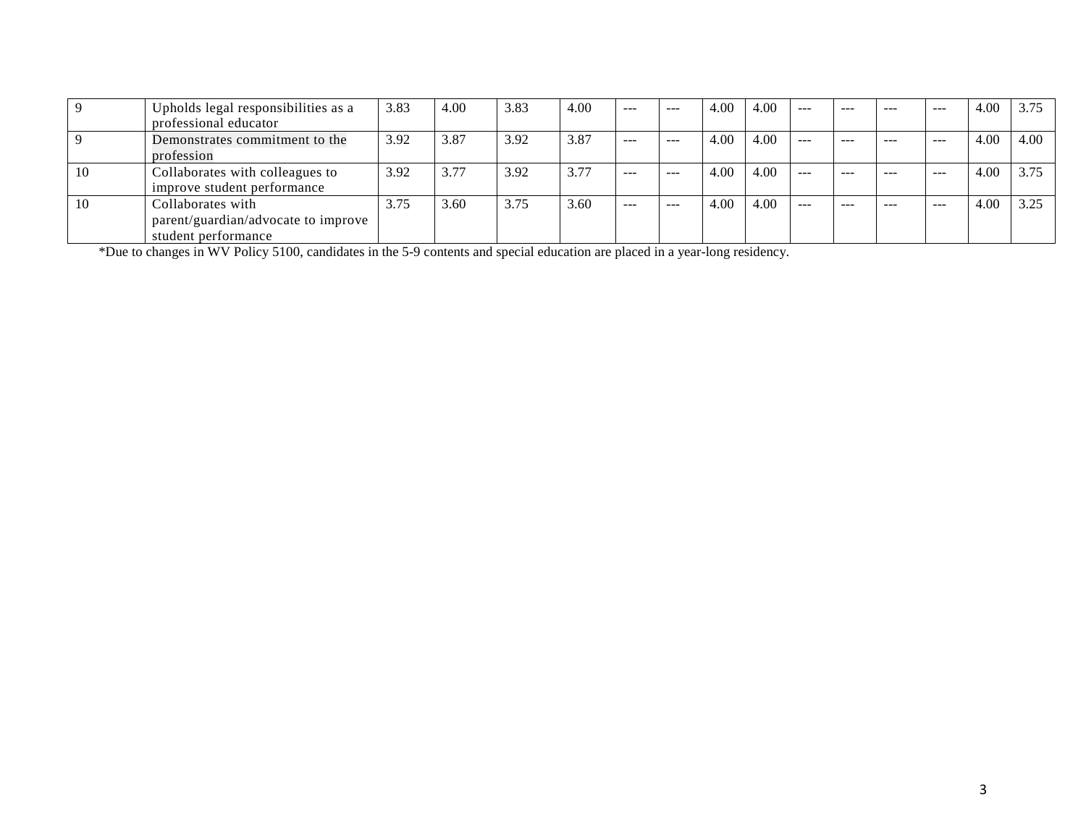|    | Upholds legal responsibilities as a | 3.83 | 4.00 | 3.83 | 4.00 | $- - -$ | $- - -$ | 4.00 | 4.00 | $- - -$ | $- - -$ | $- - -$ | ----    | 4.00 | 3.75 |
|----|-------------------------------------|------|------|------|------|---------|---------|------|------|---------|---------|---------|---------|------|------|
|    | professional educator               |      |      |      |      |         |         |      |      |         |         |         |         |      |      |
|    | Demonstrates commitment to the      | 3.92 | 3.87 | 3.92 | 3.87 | $- - -$ | ---     | 4.00 | 4.00 | $- - -$ | $- - -$ | $- - -$ | $- - -$ | 4.00 | 4.00 |
|    | profession                          |      |      |      |      |         |         |      |      |         |         |         |         |      |      |
| 10 | Collaborates with colleagues to     | 3.92 | 3.77 | 3.92 | 3.77 | $- - -$ | ---     | 4.00 | 4.00 | $- - -$ | ---     | ---     | ---     | 4.00 | 3.75 |
|    | improve student performance         |      |      |      |      |         |         |      |      |         |         |         |         |      |      |
| 10 | Collaborates with                   | 3.75 | 3.60 | 3.75 | 3.60 | $- - -$ | $- - -$ | 4.00 | 4.00 | $---$   | $---$   | $- - -$ | $---$   | 4.00 | 3.25 |
|    | parent/guardian/advocate to improve |      |      |      |      |         |         |      |      |         |         |         |         |      |      |
|    | student performance                 |      |      |      |      |         |         |      |      |         |         |         |         |      |      |

\*Due to changes in WV Policy 5100, candidates in the 5-9 contents and special education are placed in a year-long residency.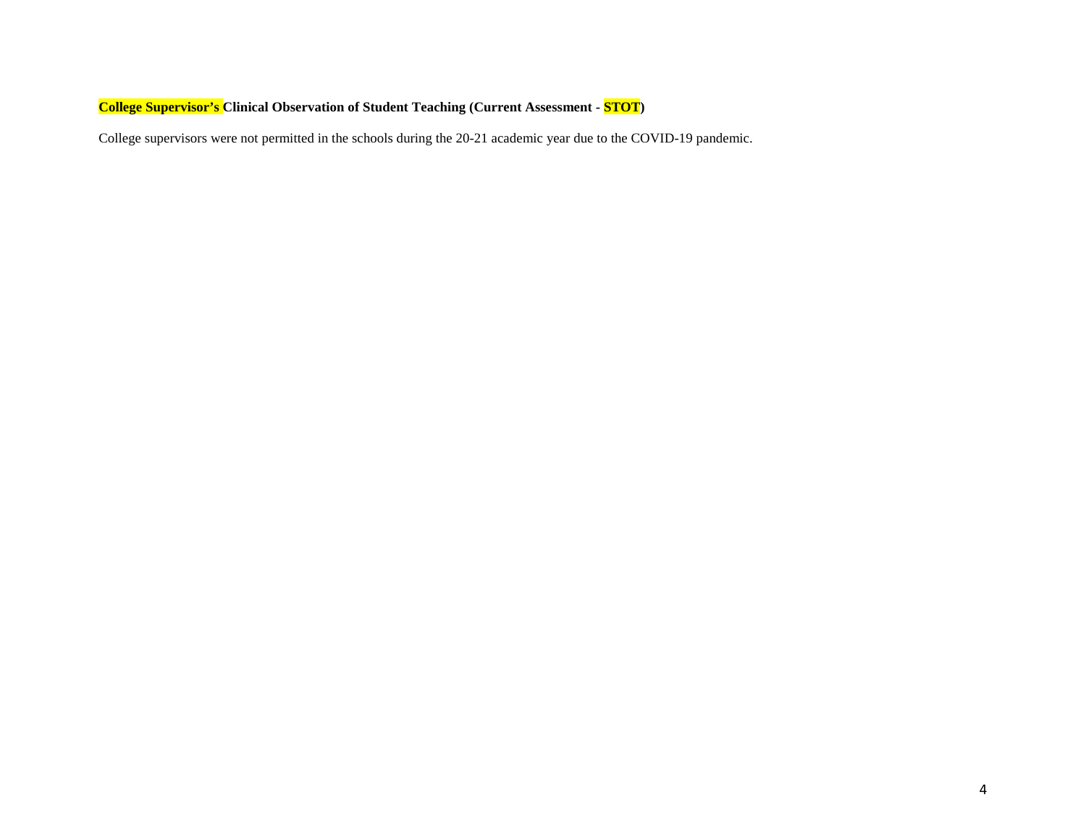# **College Supervisor's Clinical Observation of Student Teaching (Current Assessment - STOT)**

College supervisors were not permitted in the schools during the 20-21 academic year due to the COVID-19 pandemic.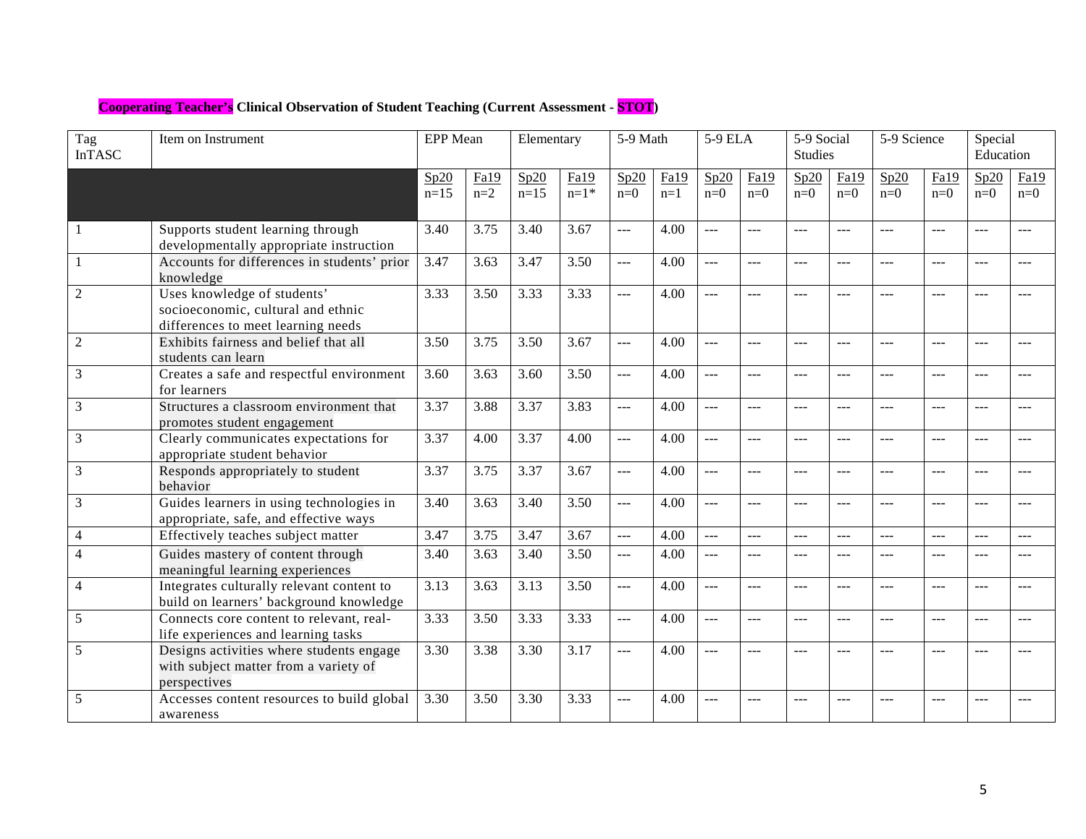# **Cooperating Teacher's Clinical Observation of Student Teaching (Current Assessment - STOT)**

| Tag<br><b>InTASC</b> | Item on Instrument                                                                                      | <b>EPP</b> Mean |               | Elementary     |                | 5-9 Math       |               | 5-9 ELA       |                | $\overline{5}$ -9 Social<br><b>Studies</b> |               | 5-9 Science    |                | Special<br>Education |               |
|----------------------|---------------------------------------------------------------------------------------------------------|-----------------|---------------|----------------|----------------|----------------|---------------|---------------|----------------|--------------------------------------------|---------------|----------------|----------------|----------------------|---------------|
|                      |                                                                                                         | Sp20<br>$n=15$  | Fa19<br>$n=2$ | Sp20<br>$n=15$ | Fa19<br>$n=1*$ | Sp20<br>$n=0$  | Fa19<br>$n=1$ | Sp20<br>$n=0$ | Fa19<br>$n=0$  | Sp20<br>$n=0$                              | Fa19<br>$n=0$ | Sp20<br>$n=0$  | Fa19<br>$n=0$  | Sp20<br>$n=0$        | Fa19<br>$n=0$ |
|                      | Supports student learning through<br>developmentally appropriate instruction                            | 3.40            | 3.75          | 3.40           | 3.67           | $\overline{a}$ | 4.00          | $---$         | $---$          | $\overline{a}$                             | $---$         | $---$          | $\overline{a}$ |                      |               |
|                      | Accounts for differences in students' prior<br>knowledge                                                | 3.47            | 3.63          | 3.47           | 3.50           | $\overline{a}$ | 4.00          | $\frac{1}{2}$ | $---$          | $---$                                      | $- - -$       | $---$          | $---$          | $- - -$              | ---           |
| $\overline{2}$       | Uses knowledge of students'<br>socioeconomic, cultural and ethnic<br>differences to meet learning needs | 3.33            | 3.50          | 3.33           | 3.33           | $---$          | 4.00          | $---$         | $---$          | $---$                                      | $- - -$       | $---$          | $---$          |                      |               |
| $\overline{2}$       | Exhibits fairness and belief that all<br>students can learn                                             | 3.50            | 3.75          | 3.50           | 3.67           | $\frac{1}{2}$  | 4.00          | $---$         | $---$          | $---$                                      | $---$         | $---$          | $---$          | $\frac{1}{2}$        | $ -$          |
| 3                    | Creates a safe and respectful environment<br>for learners                                               | 3.60            | 3.63          | 3.60           | 3.50           | $\overline{a}$ | 4.00          | $---$         | $---$          | $---$                                      | $---$         | $---$          | $---$          | $- - -$              | ---           |
| 3                    | Structures a classroom environment that<br>promotes student engagement                                  | 3.37            | 3.88          | 3.37           | 3.83           | $\overline{a}$ | 4.00          | $---$         | $\frac{1}{2}$  | $---$                                      | $- - -$       | $---$          | $---$          | $- - -$              | ---           |
| 3                    | Clearly communicates expectations for<br>appropriate student behavior                                   | 3.37            | 4.00          | 3.37           | 4.00           | ---            | 4.00          | $---$         | $\frac{1}{2}$  | $---$                                      | $\cdots$      | $\frac{1}{2}$  | $---$          | $---$                | $---$         |
| 3                    | Responds appropriately to student<br>behavior                                                           | 3.37            | 3.75          | 3.37           | 3.67           | $ -$           | 4.00          | $---$         | $\frac{1}{2}$  | $---$                                      | $- - -$       | $---$          | $---$          | $- - -$              | $- - -$       |
| 3                    | Guides learners in using technologies in<br>appropriate, safe, and effective ways                       | 3.40            | 3.63          | 3.40           | 3.50           | $\overline{a}$ | 4.00          | $\frac{1}{2}$ | $\frac{1}{2}$  | $\frac{1}{2}$                              | $---$         | $\frac{1}{2}$  | $---$          | $---$                | ---           |
| $\overline{4}$       | Effectively teaches subject matter                                                                      | 3.47            | 3.75          | 3.47           | 3.67           | $\overline{a}$ | 4.00          | $---$         | $\overline{a}$ | $\frac{1}{2}$                              | $---$         | $\overline{a}$ | ---            | $---$                | $---$         |
| $\overline{4}$       | Guides mastery of content through<br>meaningful learning experiences                                    | 3.40            | 3.63          | 3.40           | 3.50           | $\overline{a}$ | 4.00          | $---$         | $---$          | $---$                                      | $---$         | $---$          | $---$          |                      | $---$         |
| 4                    | Integrates culturally relevant content to<br>build on learners' background knowledge                    | 3.13            | 3.63          | 3.13           | 3.50           | $\overline{a}$ | 4.00          | $\frac{1}{2}$ | $\frac{1}{2}$  | $---$                                      | $---$         | $---$          | $---$          |                      | ---           |
| 5                    | Connects core content to relevant, real-<br>life experiences and learning tasks                         | 3.33            | 3.50          | 3.33           | 3.33           | $\overline{a}$ | 4.00          | $---$         | $---$          | $---$                                      | $- - -$       | $\frac{1}{2}$  | $\frac{1}{2}$  | $- - -$              | $---$         |
| 5                    | Designs activities where students engage<br>with subject matter from a variety of<br>perspectives       | 3.30            | 3.38          | 3.30           | 3.17           | $\overline{a}$ | 4.00          | $---$         | $---$          | $---$                                      | $- - -$       | $---$          | ---            |                      |               |
| 5                    | Accesses content resources to build global<br>awareness                                                 | 3.30            | 3.50          | 3.30           | 3.33           | $---$          | 4.00          | $---$         | ---            | ---                                        |               |                | ---            |                      |               |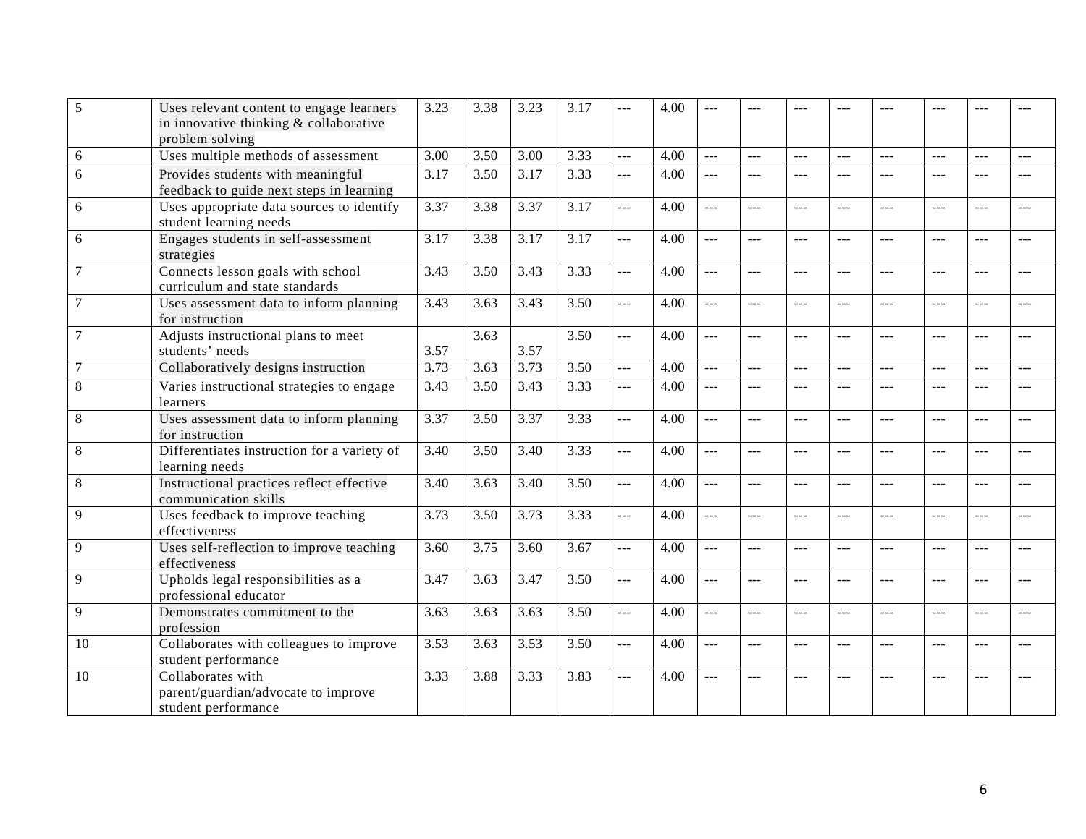| 5  | Uses relevant content to engage learners                                        | 3.23 | 3.38 | 3.23 | 3.17 | ---            | 4.00 |                | ---            |                |                | ---           | ---            |         |       |
|----|---------------------------------------------------------------------------------|------|------|------|------|----------------|------|----------------|----------------|----------------|----------------|---------------|----------------|---------|-------|
|    | in innovative thinking & collaborative                                          |      |      |      |      |                |      |                |                |                |                |               |                |         |       |
|    | problem solving                                                                 |      |      |      |      |                |      |                |                |                |                |               |                |         |       |
| 6  | Uses multiple methods of assessment                                             | 3.00 | 3.50 | 3.00 | 3.33 | $\overline{a}$ | 4.00 | $\sim$         | $\frac{1}{2}$  | $\frac{1}{2}$  | $\sim$         | $\frac{1}{2}$ | $\frac{1}{2}$  | بالأباد | ---   |
| 6  | Provides students with meaningful                                               | 3.17 | 3.50 | 3.17 | 3.33 | $-$            | 4.00 | $\frac{1}{2}$  | $---$          | $-$            | $---$          | $---$         | $---$          | $---$   | $---$ |
|    | feedback to guide next steps in learning                                        |      |      |      |      |                |      |                |                |                |                |               |                |         |       |
| 6  | Uses appropriate data sources to identify<br>student learning needs             | 3.37 | 3.38 | 3.37 | 3.17 | $\overline{a}$ | 4.00 | $\frac{1}{2}$  | $---$          | $---$          | $---$          | $\cdots$      | $\overline{a}$ | $---$   | $---$ |
| 6  | Engages students in self-assessment<br>strategies                               | 3.17 | 3.38 | 3.17 | 3.17 | $ -$           | 4.00 | $-$            | $---$          | $---$          | $---$          | $---$         | $---$          | $---$   | $---$ |
|    | Connects lesson goals with school<br>curriculum and state standards             | 3.43 | 3.50 | 3.43 | 3.33 | $\overline{a}$ | 4.00 | $\overline{a}$ | ---            | ---            | $---$          | ---           | $\overline{a}$ |         |       |
|    | Uses assessment data to inform planning<br>for instruction                      | 3.43 | 3.63 | 3.43 | 3.50 | <b></b>        | 4.00 | $---$          | $---$          | $---$          | $-$            | $---$         | $---$          | $-$ --  | ---   |
|    | Adjusts instructional plans to meet                                             |      | 3.63 |      | 3.50 | шш.<br>———     | 4.00 | $---$          | <u></u>        | ---            | $---$          | <u></u>       | $\overline{a}$ | ---     |       |
|    | students' needs                                                                 | 3.57 |      | 3.57 |      |                |      |                |                |                |                |               |                |         |       |
| 7  | Collaboratively designs instruction                                             | 3.73 | 3.63 | 3.73 | 3.50 | $\frac{1}{2}$  | 4.00 | $\overline{a}$ | $- - -$        | $\overline{a}$ | $\overline{a}$ | $---$         | $- - -$        | $---$   | $---$ |
| 8  | Varies instructional strategies to engage<br>learners                           | 3.43 | 3.50 | 3.43 | 3.33 | $ -$           | 4.00 | $\cdots$       | $---$          | $---$          | $---$          | $---$         | ---            | ---     | $---$ |
| 8  | Uses assessment data to inform planning<br>for instruction                      | 3.37 | 3.50 | 3.37 | 3.33 | $\overline{a}$ | 4.00 | $---$          | $---$          | ---            | $-$            | $---$         | $---$          | $-$ --  | ---   |
| 8  | Differentiates instruction for a variety of<br>learning needs                   | 3.40 | 3.50 | 3.40 | 3.33 | $\overline{a}$ | 4.00 | $\sim$         | $\sim$         | ---            | $---$          | <u></u>       | $\overline{a}$ | ---     |       |
| 8  | Instructional practices reflect effective<br>communication skills               | 3.40 | 3.63 | 3.40 | 3.50 | $\overline{a}$ | 4.00 | $\cdots$       | $\frac{1}{2}$  | $---$          | $---$          | $\cdots$      | $---$          | $---$   | ---   |
| 9  | Uses feedback to improve teaching<br>effectiveness                              | 3.73 | 3.50 | 3.73 | 3.33 | $\overline{a}$ | 4.00 | $-$            | $---$          | $-$            | $---$          | $---$         | $---$          | $-$ --  | ---   |
| 9  | Uses self-reflection to improve teaching<br>effectiveness                       | 3.60 | 3.75 | 3.60 | 3.67 | $\overline{a}$ | 4.00 | $\overline{a}$ | $\overline{a}$ | $\overline{a}$ | $---$          | $---$         | $\overline{a}$ |         | ---   |
| 9  | Upholds legal responsibilities as a<br>professional educator                    | 3.47 | 3.63 | 3.47 | 3.50 | $\overline{a}$ | 4.00 | $---$          | $---$          | $---$          | $---$          | $---$         | $---$          | $---$   | $---$ |
| 9  | Demonstrates commitment to the<br>profession                                    | 3.63 | 3.63 | 3.63 | 3.50 | $\overline{a}$ | 4.00 | $\frac{1}{2}$  | $---$          | $-$            | $---$          | $\cdots$      | $\overline{a}$ | $---$   | $---$ |
| 10 | Collaborates with colleagues to improve<br>student performance                  | 3.53 | 3.63 | 3.53 | 3.50 | $-$            | 4.00 | $\frac{1}{2}$  | $---$          | $---$          | $---$          | $\cdots$      | $---$          | $---$   | $---$ |
| 10 | Collaborates with<br>parent/guardian/advocate to improve<br>student performance | 3.33 | 3.88 | 3.33 | 3.83 | $\overline{a}$ | 4.00 |                | $ -$           |                | $- - -$        | ---           | $---$          |         |       |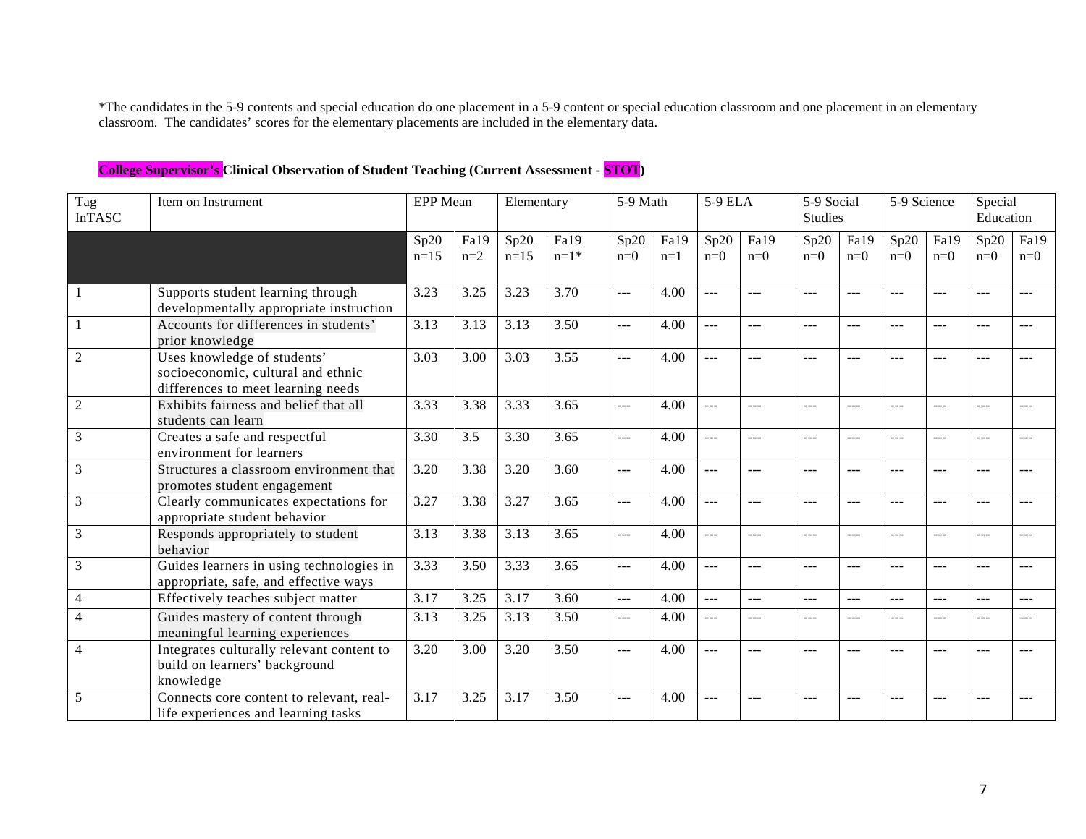\*The candidates in the 5-9 contents and special education do one placement in a 5-9 content or special education classroom and one placement in an elementary classroom. The candidates' scores for the elementary placements are included in the elementary data.

| Tag<br><b>InTASC</b> | Item on Instrument                                                                                      | EPP Mean       |                   | Elementary     |                | 5-9 Math                                    |               | 5-9 ELA        |                | 5-9 Social<br>Studies |               | 5-9 Science   |               | Special<br>Education |               |
|----------------------|---------------------------------------------------------------------------------------------------------|----------------|-------------------|----------------|----------------|---------------------------------------------|---------------|----------------|----------------|-----------------------|---------------|---------------|---------------|----------------------|---------------|
|                      |                                                                                                         | Sp20<br>$n=15$ | Fa19<br>$n=2$     | Sp20<br>$n=15$ | Fa19<br>$n=1*$ | Sp20<br>$n=0$                               | Fa19<br>$n=1$ | Sp20<br>$n=0$  | Fa19<br>$n=0$  | Sp20<br>$n=0$         | Fa19<br>$n=0$ | Sp20<br>$n=0$ | Fa19<br>$n=0$ | Sp20<br>$n=0$        | Fa19<br>$n=0$ |
| 1                    | Supports student learning through<br>developmentally appropriate instruction                            | 3.23           | 3.25              | 3.23           | 3.70           | $\overline{a}$                              | 4.00          | $---$          | $---$          | $---$                 | $---$         | $---$         | $---$         |                      | ---           |
|                      | Accounts for differences in students'<br>prior knowledge                                                | 3.13           | $\overline{3.13}$ | 3.13           | 3.50           | $\frac{1}{2}$                               | 4.00          | $---$          | $---$          | ---                   | $---$         | $---$         | ---           | ---                  | ---           |
| $\overline{2}$       | Uses knowledge of students'<br>socioeconomic, cultural and ethnic<br>differences to meet learning needs | 3.03           | 3.00              | 3.03           | 3.55           | $---$                                       | 4.00          | $---$          | $---$          | $---$                 | ---           | $---$         | $---$         | $- - -$              | $---$         |
| $\overline{c}$       | Exhibits fairness and belief that all<br>students can learn                                             | 3.33           | 3.38              | 3.33           | 3.65           | $\frac{1}{2}$                               | 4.00          | $-$            | $---$          | $---$                 | $---$         | $---$         | $---$         | $---$                | $---$         |
| 3                    | Creates a safe and respectful<br>environment for learners                                               | 3.30           | 3.5               | 3.30           | 3.65           | $\frac{1}{2}$                               | 4.00          | $---$          | $---$          | $---$                 | $---$         | $---$         | ---           |                      | ---           |
| $\mathfrak{Z}$       | Structures a classroom environment that<br>promotes student engagement                                  | 3.20           | 3.38              | 3.20           | 3.60           | $\frac{1}{2}$                               | 4.00          | $\overline{a}$ | $---$          | $\overline{a}$        | $---$         | $---$         | $-$           | $---$                | $---$         |
| 3                    | Clearly communicates expectations for<br>appropriate student behavior                                   | 3.27           | 3.38              | 3.27           | 3.65           | $\frac{1}{2}$                               | 4.00          | $-$            | $---$          | $---$                 | ---           | $---$         | $---$         | ---                  | ---           |
| 3                    | Responds appropriately to student<br>behavior                                                           | 3.13           | 3.38              | 3.13           | 3.65           | $\frac{1}{2}$                               | 4.00          | $-$            | $---$          | $---$                 | ---           | $---$         | $---$         |                      | ---           |
| $\mathfrak{Z}$       | Guides learners in using technologies in<br>appropriate, safe, and effective ways                       | 3.33           | 3.50              | 3.33           | 3.65           | $\overline{a}$                              | 4.00          | $-$            | $---$          | $---$                 | $---$         | $---$         | $---$         | $---$                | $---$         |
| $\overline{4}$       | Effectively teaches subject matter                                                                      | 3.17           | 3.25              | 3.17           | 3.60           | $\overline{a}$                              | 4.00          | $\overline{a}$ | $\overline{a}$ | $\overline{a}$        | ---           | $---$         | $---$         |                      | $---$         |
| $\overline{4}$       | Guides mastery of content through<br>meaningful learning experiences                                    | 3.13           | 3.25              | 3.13           | 3.50           | $\scriptstyle \cdots$ $\scriptstyle \cdots$ | 4.00          | $---$          | $---$          | $---$                 | $---$         | $---$         | $---$         | ---                  | $---$         |
| 4                    | Integrates culturally relevant content to<br>build on learners' background<br>knowledge                 | 3.20           | 3.00              | 3.20           | 3.50           | $---$                                       | 4.00          | $---$          | $---$          | $---$                 | $---$         | $---$         | ---           |                      |               |
| 5                    | Connects core content to relevant, real-<br>life experiences and learning tasks                         | 3.17           | 3.25              | 3.17           | 3.50           | $---$                                       | 4.00          | $---$          | $---$          | $---$                 |               | $---$         | $---$         | $- - -$              | $---$         |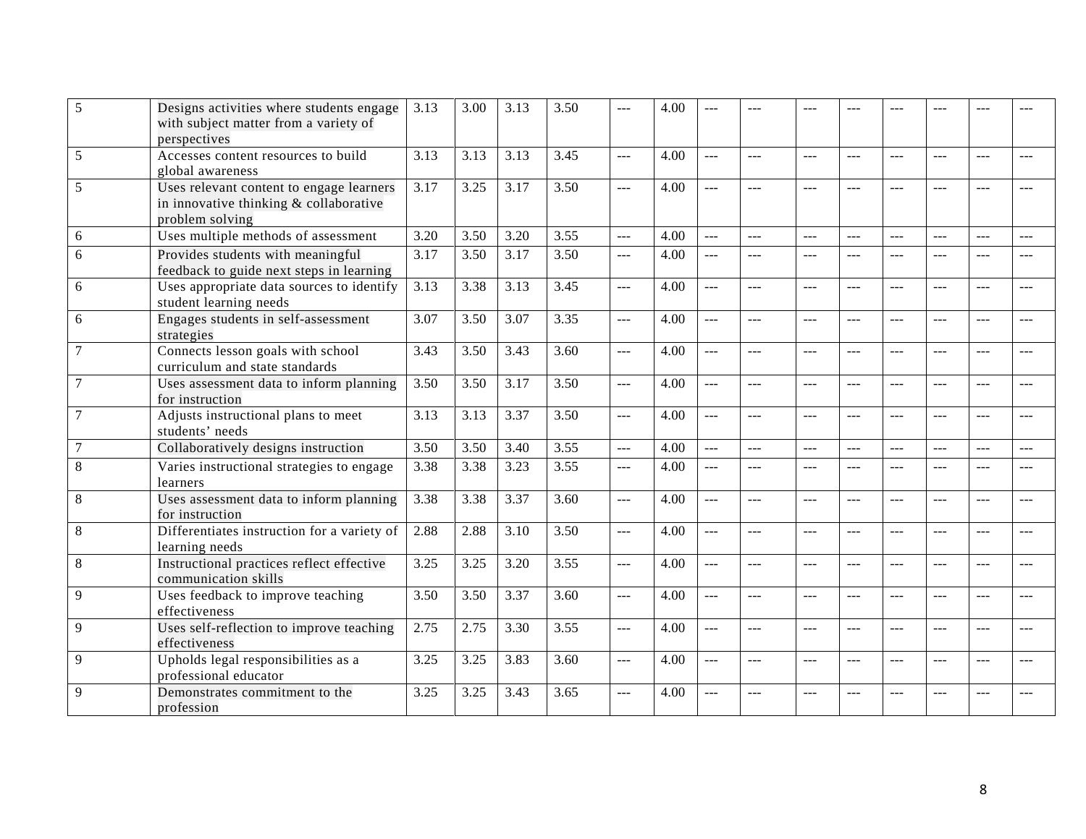| 5              | Designs activities where students engage<br>with subject matter from a variety of                     | 3.13 | 3.00 | 3.13 | 3.50 | $---$          | 4.00 |                      |                |                |                |                |                |               |       |
|----------------|-------------------------------------------------------------------------------------------------------|------|------|------|------|----------------|------|----------------------|----------------|----------------|----------------|----------------|----------------|---------------|-------|
|                | perspectives                                                                                          |      |      |      |      |                |      |                      |                |                |                |                |                |               |       |
| 5              | Accesses content resources to build<br>global awareness                                               | 3.13 | 3.13 | 3.13 | 3.45 | $\overline{a}$ | 4.00 | $---$                | $\sim$         | $\overline{a}$ | $---$          | $ -$           | $---$          | $ -$          | ---   |
| 5              | Uses relevant content to engage learners<br>in innovative thinking & collaborative<br>problem solving | 3.17 | 3.25 | 3.17 | 3.50 | $\overline{a}$ | 4.00 | $---$                |                | $-$            |                | $ -$           | $---$          |               |       |
| 6              | Uses multiple methods of assessment                                                                   | 3.20 | 3.50 | 3.20 | 3.55 | $\overline{a}$ | 4.00 | $---$                | $\frac{1}{2}$  | $-$            | $\sim$         | $---$          | $---$          | $ -$          | $ -$  |
| 6              | Provides students with meaningful<br>feedback to guide next steps in learning                         | 3.17 | 3.50 | 3.17 | 3.50 | $\overline{a}$ | 4.00 | $\frac{1}{2}$        | $\overline{a}$ | $\frac{1}{2}$  | $---$          | $---$          | $\frac{1}{2}$  | $---$         | $---$ |
| 6              | Uses appropriate data sources to identify<br>student learning needs                                   | 3.13 | 3.38 | 3.13 | 3.45 | $\overline{a}$ | 4.00 | $ -$                 | $\overline{a}$ | $-$            | ---            | $---$          | $---$          | ---           | ---   |
| 6              | Engages students in self-assessment<br>strategies                                                     | 3.07 | 3.50 | 3.07 | 3.35 | $\overline{a}$ | 4.00 | $\overline{a}$       | $\overline{a}$ | ---            | ---            | $---$          | $\overline{a}$ | ---           | ---   |
| $\overline{7}$ | Connects lesson goals with school<br>curriculum and state standards                                   | 3.43 | 3.50 | 3.43 | 3.60 | $\overline{a}$ | 4.00 | $---$                | $\sim$         | $---$          | $---$          | $ -$           | $---$          | ---           | ---   |
| $\overline{7}$ | Uses assessment data to inform planning<br>for instruction                                            | 3.50 | 3.50 | 3.17 | 3.50 | $\overline{a}$ | 4.00 | $\sim$               | $\frac{1}{2}$  | $\sim$         | $\sim$         | $---$          | $---$          | $- - -$       | $ -$  |
| $\overline{7}$ | Adjusts instructional plans to meet<br>students' needs                                                | 3.13 | 3.13 | 3.37 | 3.50 | $\overline{a}$ | 4.00 | $\sim$ $\sim$ $\sim$ | $\frac{1}{2}$  | $\frac{1}{2}$  | $\overline{a}$ | $  -$          | $  -$          | $\frac{1}{2}$ | $---$ |
| 7              | Collaboratively designs instruction                                                                   | 3.50 | 3.50 | 3.40 | 3.55 | $\overline{a}$ | 4.00 | $\cdots$             | $---$          | $-$            | $---$          | $---$          | $\frac{1}{2}$  | $- - -$       | $---$ |
| 8              | Varies instructional strategies to engage<br>learners                                                 | 3.38 | 3.38 | 3.23 | 3.55 | $ -$           | 4.00 | $-$                  | $---$          | ---            | ---            | $---$          | $-$            | ---           | ---   |
| 8              | Uses assessment data to inform planning<br>for instruction                                            | 3.38 | 3.38 | 3.37 | 3.60 | $\overline{a}$ | 4.00 | $-$                  | $\sim$         | $\overline{a}$ | ---            | $---$          | $\sim$         | ---           |       |
| 8              | Differentiates instruction for a variety of<br>learning needs                                         | 2.88 | 2.88 | 3.10 | 3.50 | $\overline{a}$ | 4.00 | $\overline{a}$       | $\overline{a}$ | $\frac{1}{2}$  | $\sim$         | $\overline{a}$ | $\overline{a}$ | $---$         | ---   |
| $\,8\,$        | Instructional practices reflect effective<br>communication skills                                     | 3.25 | 3.25 | 3.20 | 3.55 | $\overline{a}$ | 4.00 | $\overline{a}$       | $\overline{a}$ | $\overline{a}$ | $\overline{a}$ | $\frac{1}{2}$  | $  -$          | $---$         | $---$ |
| 9              | Uses feedback to improve teaching<br>effectiveness                                                    | 3.50 | 3.50 | 3.37 | 3.60 | $\overline{a}$ | 4.00 | $\overline{a}$       | $ -$           | $ -$           | $\overline{a}$ | ---            | $\overline{a}$ | $---$         | $---$ |
| 9              | Uses self-reflection to improve teaching<br>effectiveness                                             | 2.75 | 2.75 | 3.30 | 3.55 | $ -$           | 4.00 | ---                  | ---            | $---$          | $---$          | $- - -$        | $\overline{a}$ | ---           | ---   |
| 9              | Upholds legal responsibilities as a<br>professional educator                                          | 3.25 | 3.25 | 3.83 | 3.60 | $\overline{a}$ | 4.00 | $---$                | $\sim$         | $---$          |                |                | $---$          | $- - -$       | $-$   |
| 9              | Demonstrates commitment to the<br>profession                                                          | 3.25 | 3.25 | 3.43 | 3.65 | $\overline{a}$ | 4.00 |                      | $\overline{a}$ | $---$          |                |                | ---            |               |       |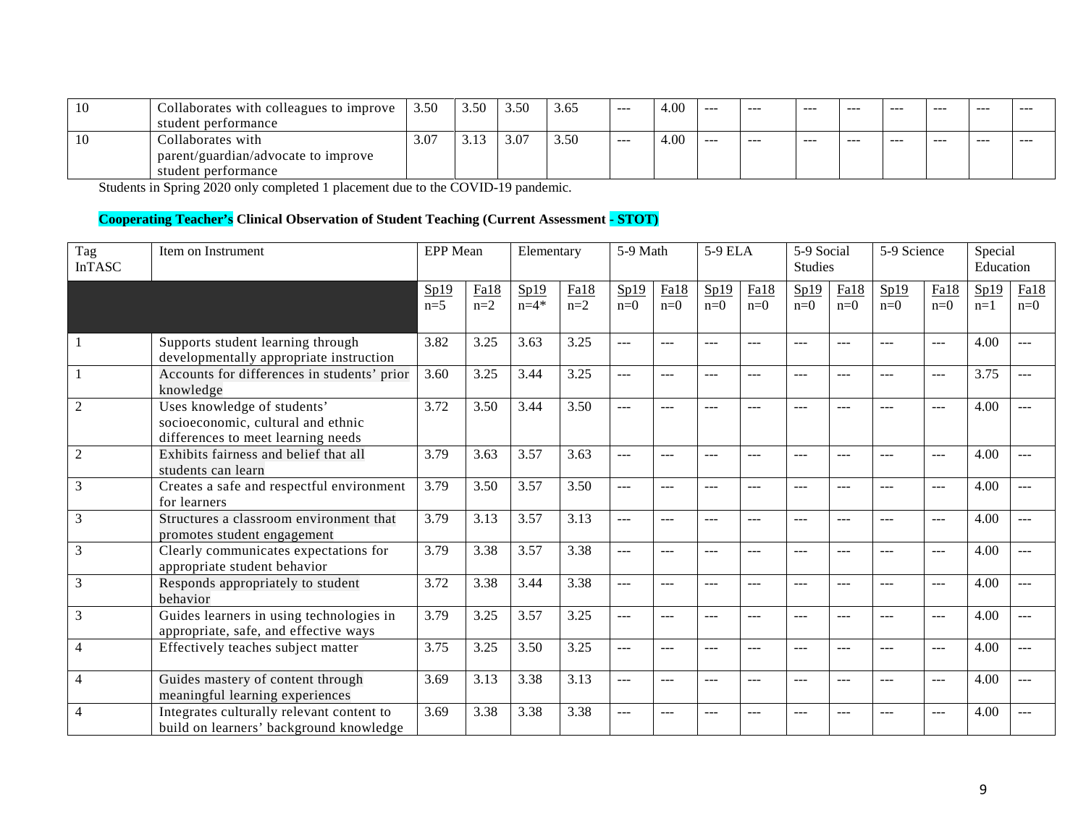| 10 | Collaborates with colleagues to improve | 3.50 | 3.5 <sup>°</sup> | 3.50 | --<br>3.00 | ---     | 4.00 | --- | $- - -$ | $- - -$ | $- - -$ | --- | $- - -$ | $- - -$ | --- |
|----|-----------------------------------------|------|------------------|------|------------|---------|------|-----|---------|---------|---------|-----|---------|---------|-----|
|    | student performance                     |      |                  |      |            |         |      |     |         |         |         |     |         |         |     |
| ΙU | Collaborates with                       | 3.07 | . ۱۰ ت           | 3.07 | 3.50       | $- - -$ | 4.00 | --- | $- - -$ | $- - -$ | $- - -$ | --- | $- - -$ | $- - -$ | --- |
|    | parent/guardian/advocate to improve     |      |                  |      |            |         |      |     |         |         |         |     |         |         |     |
|    | student performance                     |      |                  |      |            |         |      |     |         |         |         |     |         |         |     |

Students in Spring 2020 only completed 1 placement due to the COVID-19 pandemic.

# **Cooperating Teacher's Clinical Observation of Student Teaching (Current Assessment - STOT)**

| Tag<br><b>InTASC</b> | Item on Instrument                                                                                      | <b>EPP</b> Mean |               | Elementary       |               | $\overline{5}$ -9 Math |               | 5-9 ELA       |               | $\overline{5-9}$ Social<br><b>Studies</b> |               | 5-9 Science   |               | Special<br>Education |               |
|----------------------|---------------------------------------------------------------------------------------------------------|-----------------|---------------|------------------|---------------|------------------------|---------------|---------------|---------------|-------------------------------------------|---------------|---------------|---------------|----------------------|---------------|
|                      |                                                                                                         | Sp19<br>$n=5$   | Fa18<br>$n=2$ | Sp19<br>$n = 4*$ | Fa18<br>$n=2$ | Sp19<br>$n=0$          | Fa18<br>$n=0$ | Sp19<br>$n=0$ | Fa18<br>$n=0$ | Sp19<br>$n=0$                             | Fa18<br>$n=0$ | Sp19<br>$n=0$ | Fa18<br>$n=0$ | Sp19<br>$n=1$        | Fa18<br>$n=0$ |
|                      | Supports student learning through<br>developmentally appropriate instruction                            | 3.82            | 3.25          | 3.63             | 3.25          | $\overline{a}$         | ---           | ---           | $---$         |                                           | ---           | ---           | $---$         | 4.00                 | $---$         |
|                      | Accounts for differences in students' prior<br>knowledge                                                | 3.60            | 3.25          | 3.44             | 3.25          | $\overline{a}$         | ---           | $---$         | $\frac{1}{2}$ | ---                                       | $---$         | $---$         | $---$         | 3.75                 | $---$         |
| $\overline{c}$       | Uses knowledge of students'<br>socioeconomic, cultural and ethnic<br>differences to meet learning needs | 3.72            | 3.50          | 3.44             | 3.50          | $\frac{1}{2}$          | $---$         | $---$         | $  -$         | ---                                       | $---$         | $---$         | $---$         | 4.00                 | $---$         |
| $\mathfrak{2}$       | Exhibits fairness and belief that all<br>students can learn                                             | 3.79            | 3.63          | 3.57             | 3.63          | $---$                  | ---           | $- - -$       | $\frac{1}{2}$ | ---                                       | $- - -$       | $---$         | $---$         | 4.00                 |               |
| 3                    | Creates a safe and respectful environment<br>for learners                                               | 3.79            | 3.50          | 3.57             | 3.50          | $\frac{1}{2}$          | ---           | $---$         | $---$         | ---                                       | $---$         | $---$         | $---$         | 4.00                 | $---$         |
| 3                    | Structures a classroom environment that<br>promotes student engagement                                  | 3.79            | 3.13          | 3.57             | 3.13          | $\frac{1}{2}$          | ---           | $---$         | $  -$         | ---                                       | $---$         | $---$         | $\frac{1}{2}$ | 4.00                 | $---$         |
| 3                    | Clearly communicates expectations for<br>appropriate student behavior                                   | 3.79            | 3.38          | 3.57             | 3.38          | $\frac{1}{2}$          | $---$         | $---$         | $---$         | $---$                                     | $- - -$       | $-$ - $-$     | $\frac{1}{2}$ | 4.00                 |               |
| 3                    | Responds appropriately to student<br>behavior                                                           | 3.72            | 3.38          | 3.44             | 3.38          | $---$                  | ---           | ---           | ---           |                                           | ---           |               | ---           | 4.00                 | ---           |
| 3                    | Guides learners in using technologies in<br>appropriate, safe, and effective ways                       | 3.79            | 3.25          | 3.57             | 3.25          | $---$                  | ---           | ---           | $---$         | ---                                       | $- - -$       | ---           | $---$         | 4.00                 |               |
| $\overline{4}$       | Effectively teaches subject matter                                                                      | 3.75            | 3.25          | 3.50             | 3.25          | $\frac{1}{2}$          | ---           | $---$         | $---$         | ---                                       | $---$         | ---           | $---$         | 4.00                 | $---$         |
| 4                    | Guides mastery of content through<br>meaningful learning experiences                                    | 3.69            | 3.13          | 3.38             | 3.13          | $\frac{1}{2}$          | ---           | $---$         | $---$         | ---                                       | $---$         | $---$         | $---$         | 4.00                 | $---$         |
| 4                    | Integrates culturally relevant content to<br>build on learners' background knowledge                    | 3.69            | 3.38          | 3.38             | 3.38          | $\qquad \qquad - -$    | ---           |               | ---           |                                           |               |               | $---$         | 4.00                 |               |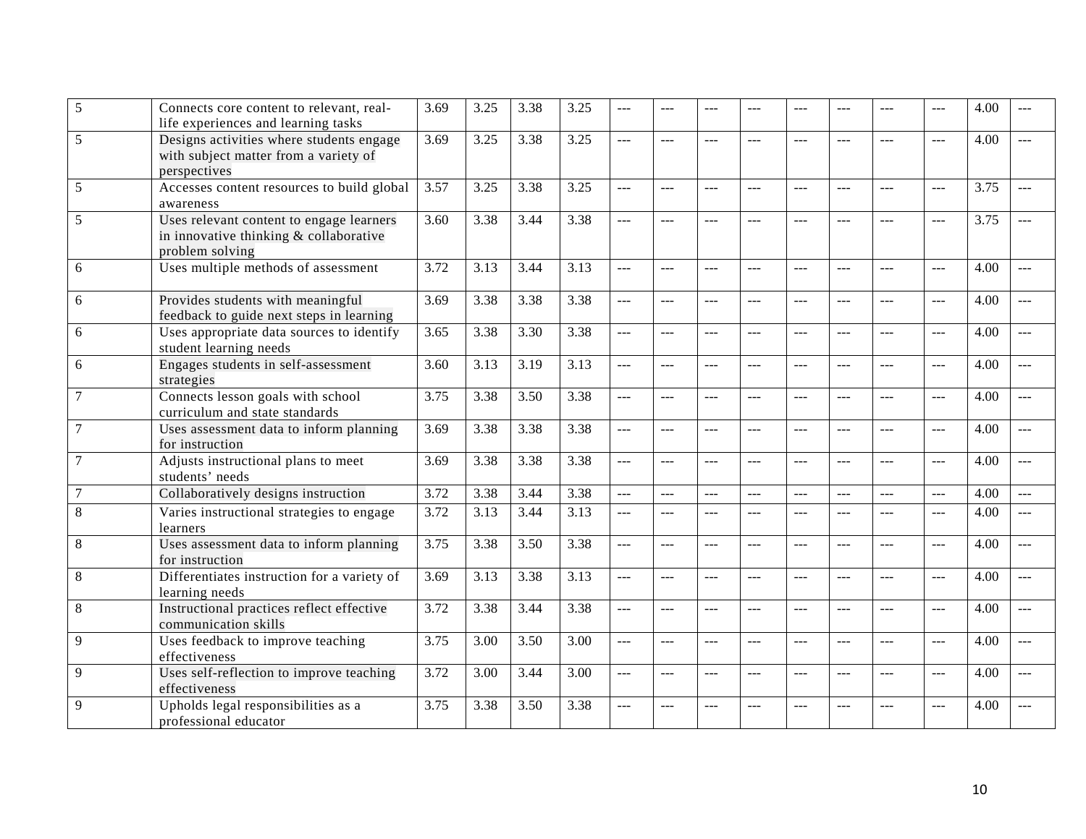| 5                | Connects core content to relevant, real-<br>life experiences and learning tasks                       | 3.69 | 3.25 | 3.38 | 3.25              | ---            |                | ---            | ---            | ---            |               | ---            | $---$          | 4.00 | $- - -$        |
|------------------|-------------------------------------------------------------------------------------------------------|------|------|------|-------------------|----------------|----------------|----------------|----------------|----------------|---------------|----------------|----------------|------|----------------|
| 5                | Designs activities where students engage<br>with subject matter from a variety of<br>perspectives     | 3.69 | 3.25 | 3.38 | 3.25              | $\overline{a}$ | ---            | $---$          | $\overline{a}$ | $---$          | $---$         | $\overline{a}$ | $\overline{a}$ | 4.00 | $\overline{a}$ |
| 5                | Accesses content resources to build global<br>awareness                                               | 3.57 | 3.25 | 3.38 | 3.25              | ---            | $- - -$        | $---$          | $---$          | ---            | $- - -$       | $-$ --         | $ -$           | 3.75 | ---            |
| 5                | Uses relevant content to engage learners<br>in innovative thinking & collaborative<br>problem solving | 3.60 | 3.38 | 3.44 | 3.38              | $\overline{a}$ | $\overline{a}$ | ---            | $---$          | $---$          | $---$         | $\overline{a}$ | $ -$           | 3.75 | $\overline{a}$ |
| 6                | Uses multiple methods of assessment                                                                   | 3.72 | 3.13 | 3.44 | 3.13              | $ -$           | $---$          | ---            | $\frac{1}{2}$  | $---$          | $---$         | $\frac{1}{2}$  | $\cdots$       | 4.00 | $---$          |
| $\boldsymbol{6}$ | Provides students with meaningful<br>feedback to guide next steps in learning                         | 3.69 | 3.38 | 3.38 | 3.38              | $\overline{a}$ | ---            | $ -$           | $---$          | $---$          | $---$         | $\overline{a}$ | $\overline{a}$ | 4.00 | $\overline{a}$ |
| 6                | Uses appropriate data sources to identify<br>student learning needs                                   | 3.65 | 3.38 | 3.30 | 3.38              | $---$          | $---$          | $---$          | <u></u>        | ---            | $---$         | $---$          | $\sim$         | 4.00 | $---$          |
| 6                | Engages students in self-assessment<br>strategies                                                     | 3.60 | 3.13 | 3.19 | 3.13              | $\overline{a}$ | ---            | $\overline{a}$ | $\overline{a}$ | $\sim$         | $- - -$       | $\sim$         | $\overline{a}$ | 4.00 | $---$          |
| 7                | Connects lesson goals with school<br>curriculum and state standards                                   | 3.75 | 3.38 | 3.50 | 3.38              | $\overline{a}$ | $\frac{1}{2}$  | $\frac{1}{2}$  | $\frac{1}{2}$  | $-$            | $---$         | $---$          | $-$            | 4.00 | $---$          |
| 7                | Uses assessment data to inform planning<br>for instruction                                            | 3.69 | 3.38 | 3.38 | 3.38              | $ -$           | ---            | ---            | $\overline{a}$ | $\overline{a}$ | $---$         | $---$          | $\overline{a}$ | 4.00 | $\overline{a}$ |
|                  | Adjusts instructional plans to meet<br>students' needs                                                | 3.69 | 3.38 | 3.38 | 3.38              | $\overline{a}$ | $---$          | $---$          | $\frac{1}{2}$  | $---$          |               | $---$          | $-$            | 4.00 | $---$          |
| 7                | Collaboratively designs instruction                                                                   | 3.72 | 3.38 | 3.44 | 3.38              | $\overline{a}$ | $---$          | $---$          | $---$          | $---$          | $-$ --        | $---$          | $---$          | 4.00 | $---$          |
| 8                | Varies instructional strategies to engage<br>learners                                                 | 3.72 | 3.13 | 3.44 | 3.13              | $\overline{a}$ | $ -$           | $---$          | $- - -$        | $-$ --         | $- - -$       | $-$            | $ -$           | 4.00 | $---$          |
| 8                | Uses assessment data to inform planning<br>for instruction                                            | 3.75 | 3.38 | 3.50 | 3.38              | $\overline{a}$ | ---            | $\overline{a}$ | $\overline{a}$ | $\overline{a}$ | $\frac{1}{2}$ | $\overline{a}$ | $ -$           | 4.00 | $\overline{a}$ |
| 8                | Differentiates instruction for a variety of<br>learning needs                                         | 3.69 | 3.13 | 3.38 | $\overline{3.13}$ | $\overline{a}$ | ---            | $---$          | $\overline{a}$ | $-$            | $---$         | $\overline{a}$ | $\overline{a}$ | 4.00 | $---$          |
| 8                | Instructional practices reflect effective<br>communication skills                                     | 3.72 | 3.38 | 3.44 | 3.38              | $\overline{a}$ | ---            | $\overline{a}$ | $\frac{1}{2}$  | $\sim$         | $\sim$        | $\frac{1}{2}$  | $\overline{a}$ | 4.00 | $\overline{a}$ |
| 9                | Uses feedback to improve teaching<br>effectiveness                                                    | 3.75 | 3.00 | 3.50 | 3.00              | $\overline{a}$ | $---$          | $- - -$        | $---$          | $---$          | $---$         | $---$          | $\sim$         | 4.00 | $\sim$         |
| 9                | Uses self-reflection to improve teaching<br>effectiveness                                             | 3.72 | 3.00 | 3.44 | 3.00              | $\frac{1}{2}$  | $---$          | $\cdots$       | $\frac{1}{2}$  | $-$            | $---$         | $\frac{1}{2}$  | $---$          | 4.00 | $---$          |
| 9                | Upholds legal responsibilities as a<br>professional educator                                          | 3.75 | 3.38 | 3.50 | 3.38              | <u>.</u>       |                |                |                |                |               |                | $---$          | 4.00 |                |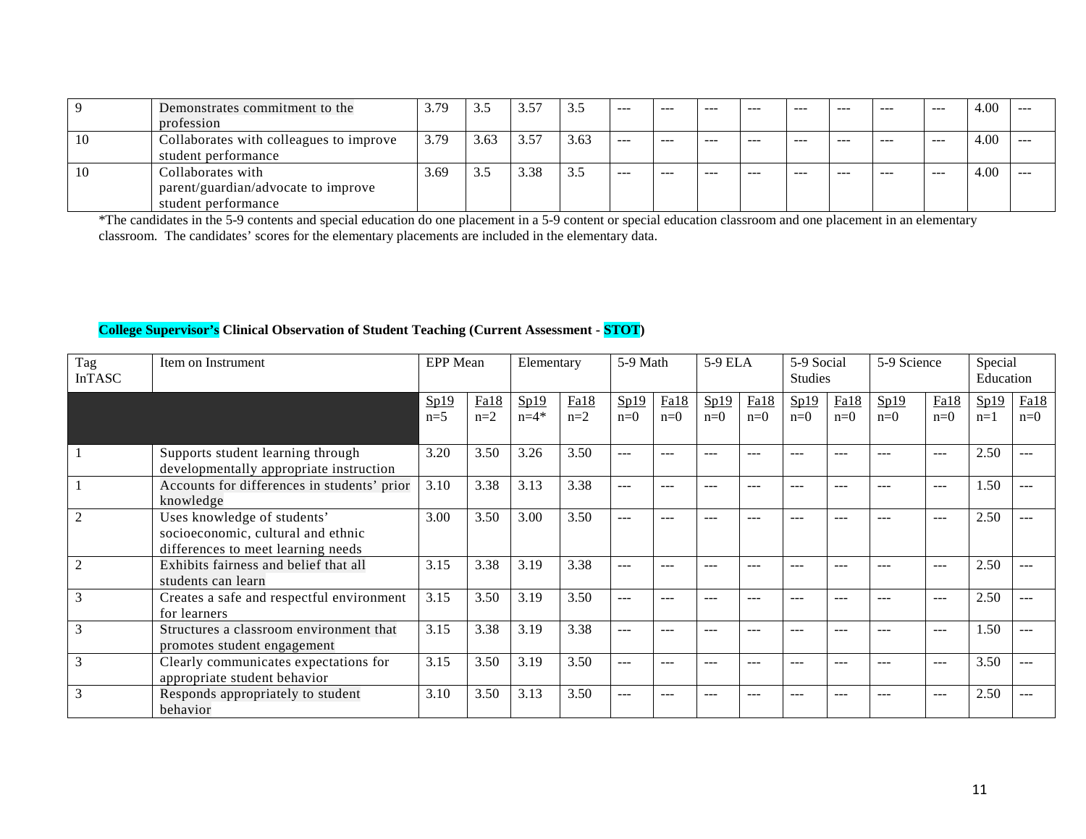|    | Demonstrates commitment to the          | 3.79 |      | 57   | 3.5  | $- - -$ | $- - -$ | $- - -$ | ----    | $- - -$ | $- - -$ | $- - -$ | $- - -$ | 4.00 |  |
|----|-----------------------------------------|------|------|------|------|---------|---------|---------|---------|---------|---------|---------|---------|------|--|
|    | profession                              |      |      |      |      |         |         |         |         |         |         |         |         |      |  |
| 10 | Collaborates with colleagues to improve | 3.79 | 3.63 | 3.57 | 3.63 | $- - -$ | ---     | $- - -$ | $- - -$ | $- - -$ | $- - -$ | $- - -$ | $- - -$ | 4.00 |  |
|    | student performance                     |      |      |      |      |         |         |         |         |         |         |         |         |      |  |
| 10 | Collaborates with                       | 3.69 | ر. ر | 3.38 | 3.5  | $- - -$ | ---     | $- - -$ | $- - -$ | $- - -$ | $- - -$ | $- - -$ | $- - -$ | 4.00 |  |
|    | parent/guardian/advocate to improve     |      |      |      |      |         |         |         |         |         |         |         |         |      |  |
|    | student performance                     |      |      |      |      |         |         |         |         |         |         |         |         |      |  |

\*The candidates in the 5-9 contents and special education do one placement in a 5-9 content or special education classroom and one placement in an elementary classroom. The candidates' scores for the elementary placements are included in the elementary data.

# **College Supervisor's Clinical Observation of Student Teaching (Current Assessment - STOT)**

| Tag<br><b>InTASC</b> | Item on Instrument                                                                                      | EPP Mean      |               | Elementary       |               | 5-9 Math      |               | 5-9 ELA       |               | 5-9 Social<br>Studies |               | 5-9 Science   |               | Special<br>Education |               |
|----------------------|---------------------------------------------------------------------------------------------------------|---------------|---------------|------------------|---------------|---------------|---------------|---------------|---------------|-----------------------|---------------|---------------|---------------|----------------------|---------------|
|                      |                                                                                                         | Sp19<br>$n=5$ | Fa18<br>$n=2$ | Sp19<br>$n = 4*$ | Fa18<br>$n=2$ | Sp19<br>$n=0$ | Fa18<br>$n=0$ | Sp19<br>$n=0$ | Fa18<br>$n=0$ | Sp19<br>$n=0$         | Fa18<br>$n=0$ | Sp19<br>$n=0$ | Fa18<br>$n=0$ | Sp19<br>$n=1$        | Fa18<br>$n=0$ |
|                      | Supports student learning through<br>developmentally appropriate instruction                            | 3.20          | 3.50          | 3.26             | 3.50          | $---$         |               |               | $- - -$       |                       | $- - -$       |               | $---$         | 2.50                 | ---           |
|                      | Accounts for differences in students' prior<br>knowledge                                                | 3.10          | 3.38          | 3.13             | 3.38          | $---$         |               |               | $- - -$       | ---                   | $- - -$       | ---           | $---$         | 1.50                 | ---           |
|                      | Uses knowledge of students'<br>socioeconomic, cultural and ethnic<br>differences to meet learning needs | 3.00          | 3.50          | 3.00             | 3.50          | $---$         |               |               | $---$         |                       | ---           |               | $---$         | 2.50                 |               |
|                      | Exhibits fairness and belief that all<br>students can learn                                             | 3.15          | 3.38          | 3.19             | 3.38          | $---$         | ---           | $- - -$       | $- - -$       | ---                   | ---           | ---           | $---$         | 2.50                 | ---           |
| 3                    | Creates a safe and respectful environment<br>for learners                                               | 3.15          | 3.50          | 3.19             | 3.50          | $---$         |               |               | ---           |                       | $- - -$       |               | $\frac{1}{2}$ | 2.50                 | ---           |
|                      | Structures a classroom environment that<br>promotes student engagement                                  | 3.15          | 3.38          | 3.19             | 3.38          | $---$         | ---           | $- - -$       | $- - -$       | ---                   | $- - -$       | ---           | $---$         | 1.50                 |               |
|                      | Clearly communicates expectations for<br>appropriate student behavior                                   | 3.15          | 3.50          | 3.19             | 3.50          | $---$         |               | $- - -$       | $---$         | ---                   | $---$         | ---           | $\frac{1}{2}$ | 3.50                 | ---           |
| 3                    | Responds appropriately to student<br>behavior                                                           | 3.10          | 3.50          | 3.13             | 3.50          | $---$         |               |               |               |                       |               |               | $---$         | 2.50                 | ---           |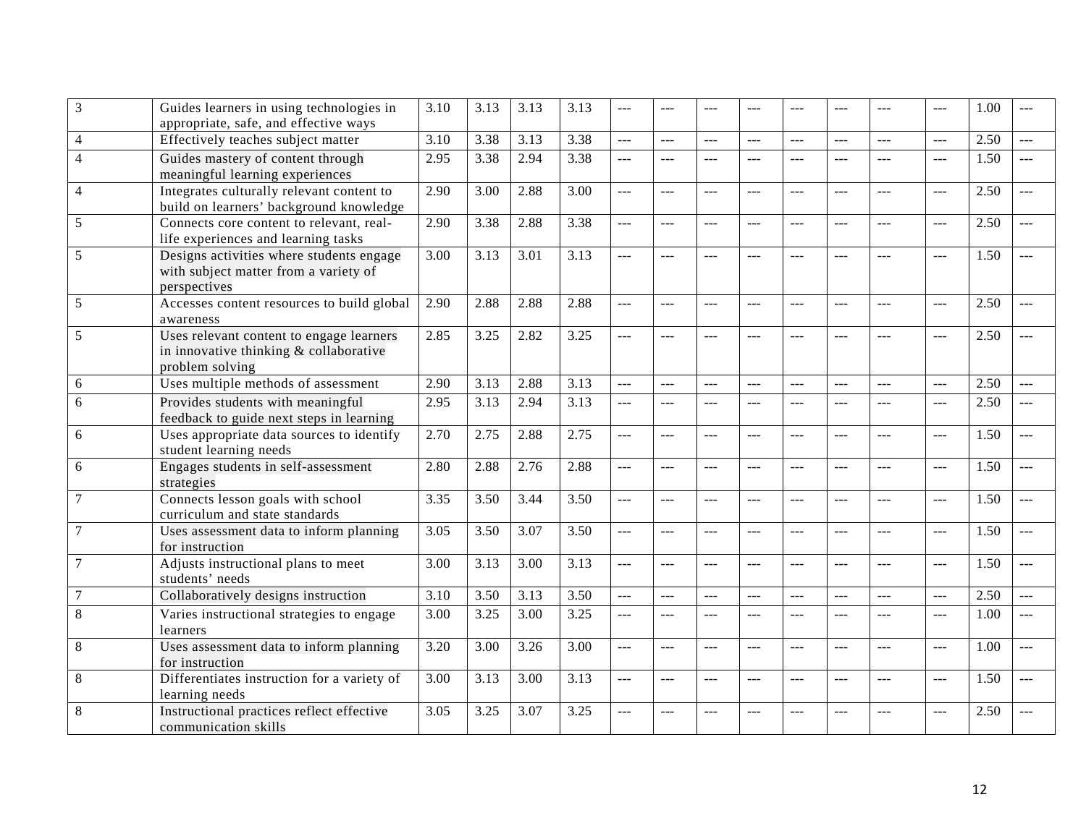| 3              | Guides learners in using technologies in<br>appropriate, safe, and effective ways                     | 3.10 | 3.13 | 3.13 | 3.13              | $---$          |                |                |         |         |                |                | $---$          | 1.00 |        |
|----------------|-------------------------------------------------------------------------------------------------------|------|------|------|-------------------|----------------|----------------|----------------|---------|---------|----------------|----------------|----------------|------|--------|
| $\overline{4}$ | Effectively teaches subject matter                                                                    | 3.10 | 3.38 | 3.13 | 3.38              | ---            | $---$          | $\sim$         | $-$     | $- - -$ | $---$          | $\overline{a}$ | $\overline{a}$ | 2.50 | $---$  |
| $\overline{4}$ | Guides mastery of content through<br>meaningful learning experiences                                  | 2.95 | 3.38 | 2.94 | 3.38              | $---$          | $---$          | $ -$           | $ -$    | $---$   | $---$          | $ -$           | $\frac{1}{2}$  | 1.50 | $---$  |
| $\overline{4}$ | Integrates culturally relevant content to<br>build on learners' background knowledge                  | 2.90 | 3.00 | 2.88 | $\overline{3.00}$ | <u></u>        | $---$          | $---$          | $---$   | $---$   | $---$          | $---$          | $\frac{1}{2}$  | 2.50 | $---$  |
| 5              | Connects core content to relevant, real-<br>life experiences and learning tasks                       | 2.90 | 3.38 | 2.88 | 3.38              | $\overline{a}$ | $---$          | $---$          | $\sim$  | $---$   |                | $\overline{a}$ | $\sim$         | 2.50 | $\sim$ |
| 5              | Designs activities where students engage<br>with subject matter from a variety of<br>perspectives     | 3.00 | 3.13 | 3.01 | 3.13              | $\overline{a}$ | $\frac{1}{2}$  | ---            | ---     | ---     | ---            | $\overline{a}$ | ---            | 1.50 | $---$  |
| 5              | Accesses content resources to build global<br>awareness                                               | 2.90 | 2.88 | 2.88 | 2.88              | $\overline{a}$ | ---            | $\overline{a}$ | ---     | ---     | $---$          | $\frac{1}{2}$  | $\overline{a}$ | 2.50 |        |
| 5              | Uses relevant content to engage learners<br>in innovative thinking & collaborative<br>problem solving | 2.85 | 3.25 | 2.82 | 3.25              | ---            |                |                | ---     |         | $ -$           |                | $-$ --         | 2.50 |        |
| $6\,$          | Uses multiple methods of assessment                                                                   | 2.90 | 3.13 | 2.88 | 3.13              | $\overline{a}$ | $\frac{1}{2}$  | $\sim$         | $\sim$  | $- - -$ |                | $\frac{1}{2}$  | $\frac{1}{2}$  | 2.50 | $\sim$ |
| 6              | Provides students with meaningful<br>feedback to guide next steps in learning                         | 2.95 | 3.13 | 2.94 | 3.13              | $ -$           | ---            | ---            | ---     |         | ---            | ---            | ---            | 2.50 | $---$  |
| 6              | Uses appropriate data sources to identify<br>student learning needs                                   | 2.70 | 2.75 | 2.88 | 2.75              | $\overline{a}$ | $\overline{a}$ | $-$            | $-$     | $---$   | $---$          | $\overline{a}$ | $\overline{a}$ | 1.50 | $---$  |
| 6              | Engages students in self-assessment<br>strategies                                                     | 2.80 | 2.88 | 2.76 | 2.88              | $\overline{a}$ | $---$          | $---$          | $\sim$  | $---$   | $---$          | $---$          | $\overline{a}$ | 1.50 | $\sim$ |
|                | Connects lesson goals with school<br>curriculum and state standards                                   | 3.35 | 3.50 | 3.44 | 3.50              | ---            | $---$          | $---$          | $\sim$  | $\sim$  | $---$          | $\overline{a}$ | $\overline{a}$ | 1.50 | $---$  |
|                | Uses assessment data to inform planning<br>for instruction                                            | 3.05 | 3.50 | 3.07 | 3.50              | $\overline{a}$ | ---            | $-$            | ---     | ---     | ---            | ---            | $ -$           | 1.50 | ---    |
|                | Adjusts instructional plans to meet<br>students' needs                                                | 3.00 | 3.13 | 3.00 | 3.13              | $\overline{a}$ | ---            | $---$          | $-$     | $---$   | $---$          | ---            | $---$          | 1.50 | $---$  |
| $\overline{7}$ | Collaboratively designs instruction                                                                   | 3.10 | 3.50 | 3.13 | 3.50              | ---            | $---$          | $---$          | $---$   | $---$   | $\overline{a}$ | $\frac{1}{2}$  | $\frac{1}{2}$  | 2.50 | $---$  |
| 8              | Varies instructional strategies to engage<br>learners                                                 | 3.00 | 3.25 | 3.00 | 3.25              | $\overline{a}$ | ---            | $---$          | $---$   | $ -$    | $---$          | $ -$           | $-$            | 1.00 | $-$    |
| 8              | Uses assessment data to inform planning<br>for instruction                                            | 3.20 | 3.00 | 3.26 | 3.00              | $\overline{a}$ | $\frac{1}{2}$  | $-$            | $-$     | $---$   | $\overline{a}$ | $\frac{1}{2}$  | $-$            | 1.00 | $---$  |
| $8\,$          | Differentiates instruction for a variety of<br>learning needs                                         | 3.00 | 3.13 | 3.00 | 3.13              | $\overline{a}$ | $\sim$         | $-$ --         | $- - -$ | $- - -$ | $---$          | $ -$           | $\overline{a}$ | 1.50 | $---$  |
| $\,8\,$        | Instructional practices reflect effective<br>communication skills                                     | 3.05 | 3.25 | 3.07 | 3.25              | $\overline{a}$ |                |                |         |         | ---            |                | $- - -$        | 2.50 | $ -$   |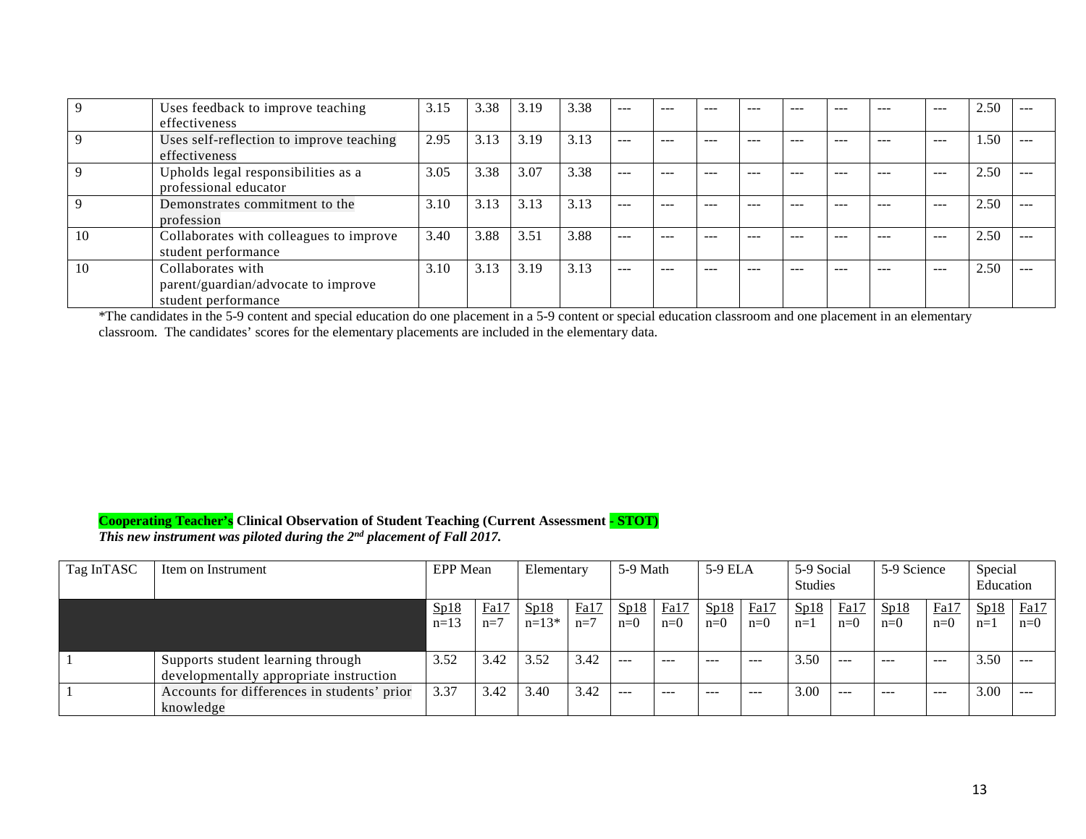|    | Uses feedback to improve teaching<br>effectiveness                              | 3.15 | 3.38 | 3.19 | 3.38 | $- - -$       | ---     | ---      | $- - -$  | ---     | ---     | ---     | $---$         | 2.50 | $- - -$ |
|----|---------------------------------------------------------------------------------|------|------|------|------|---------------|---------|----------|----------|---------|---------|---------|---------------|------|---------|
|    | Uses self-reflection to improve teaching<br>effectiveness                       | 2.95 | 3.13 | 3.19 | 3.13 | $---$         | $- - -$ | $\cdots$ | $\cdots$ | $- - -$ | $- - -$ | $- - -$ | $\frac{1}{2}$ | 1.50 | $---$   |
|    | Upholds legal responsibilities as a<br>professional educator                    | 3.05 | 3.38 | 3.07 | 3.38 | $---$         | $- - -$ | $- - -$  | $- - -$  | ---     | $- - -$ | $- - -$ | $\frac{1}{2}$ | 2.50 | $- - -$ |
|    | Demonstrates commitment to the<br>profession                                    | 3.10 | 3.13 | 3.13 | 3.13 | $- - -$       | ---     | ---      | $- - -$  | ---     | ---     | ---     | $- - -$       | 2.50 | $- - -$ |
| 10 | Collaborates with colleagues to improve<br>student performance                  | 3.40 | 3.88 | 3.51 | 3.88 | $---$         | ---     | ---      | $- - -$  | ---     | ---     | ---     | $- - -$       | 2.50 | $- - -$ |
| 10 | Collaborates with<br>parent/guardian/advocate to improve<br>student performance | 3.10 | 3.13 | 3.19 | 3.13 | $\frac{1}{2}$ | $- - -$ | $- - -$  | $- - -$  | ---     | $- - -$ | ---     | $---$         | 2.50 | $- - -$ |

\*The candidates in the 5-9 content and special education do one placement in a 5-9 content or special education classroom and one placement in an elementary classroom. The candidates' scores for the elementary placements are included in the elementary data.

# **Cooperating Teacher's Clinical Observation of Student Teaching (Current Assessment - STOT)**

*This new instrument was piloted during the 2nd placement of Fall 2017.*

| Tag InTASC | Item on Instrument                          | EPP Mean |       | Elementary |       | 5-9 Math |       | 5-9 ELA |       | 5-9 Social<br>Studies |       | 5-9 Science |               | Special<br>Education |         |
|------------|---------------------------------------------|----------|-------|------------|-------|----------|-------|---------|-------|-----------------------|-------|-------------|---------------|----------------------|---------|
|            |                                             |          |       |            |       |          |       |         |       |                       |       |             |               |                      |         |
|            |                                             | Sp18     | Fa17  | Sp18       | Fa17  | Sp18     | Fa17  | Sp18    | Fa17  | Sp18                  | Fa17  | Sp18        | Fa17          | Sp18                 | Fa17    |
|            |                                             | $n=13$   | $n=7$ | $n=13*$    | $n=7$ | $n=0$    | $n=0$ | $n=0$   | $n=0$ | $n=1$                 | $n=0$ | $n=0$       | $n=0$         | $n=1$                | $n=0$   |
|            |                                             |          |       |            |       |          |       |         |       |                       |       |             |               |                      |         |
|            | Supports student learning through           | 3.52     | 3.42  | 3.52       | 3.42  | $- - -$  | ---   | $- - -$ | $---$ | 3.50                  | ---   | $- - -$     | $\frac{1}{2}$ | 3.50                 | $---$   |
|            | developmentally appropriate instruction     |          |       |            |       |          |       |         |       |                       |       |             |               |                      |         |
|            | Accounts for differences in students' prior | 3.37     | 3.42  | 3.40       | 3.42  | $ -$     | ---   | $- - -$ | ---   | 3.00                  | ---   | $- - -$     | $\cdots$      | 3.00                 | $- - -$ |
|            | knowledge                                   |          |       |            |       |          |       |         |       |                       |       |             |               |                      |         |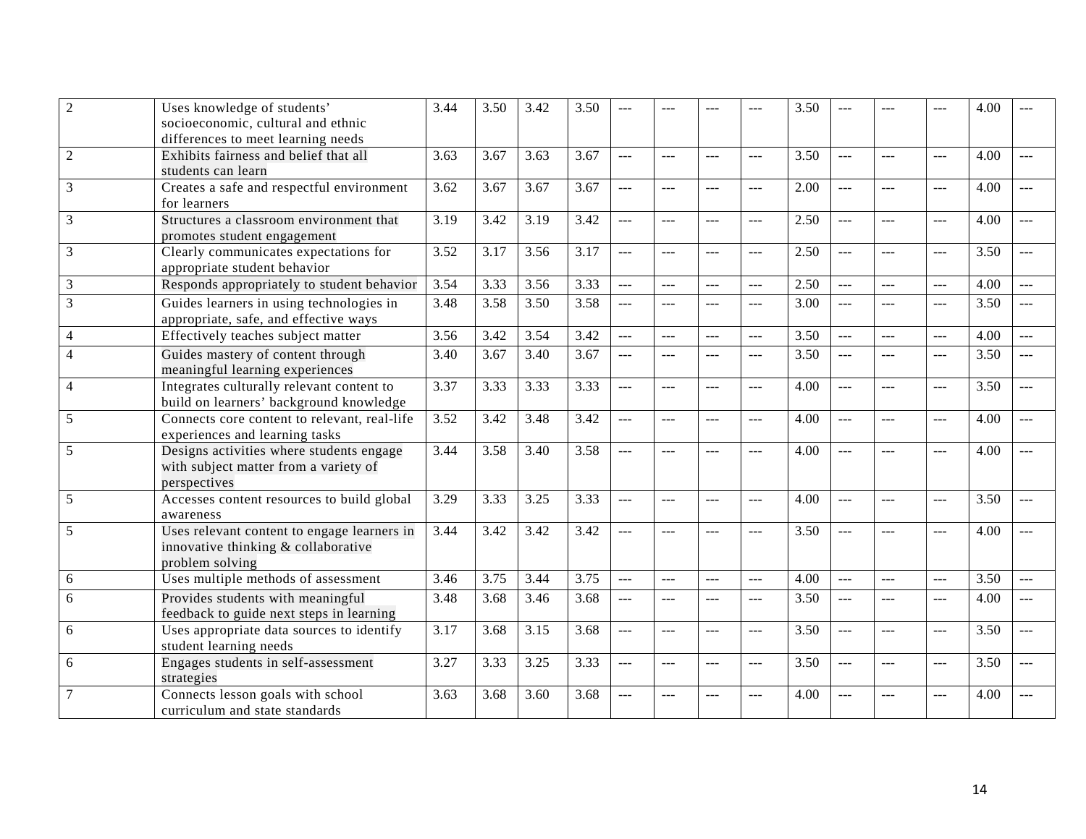| $\sqrt{2}$     | Uses knowledge of students'                  | 3.44 | 3.50 | 3.42 | 3.50 | ---                  |                |                |                | 3.50 |                |                | ---            | 4.00 |                |
|----------------|----------------------------------------------|------|------|------|------|----------------------|----------------|----------------|----------------|------|----------------|----------------|----------------|------|----------------|
|                | socioeconomic, cultural and ethnic           |      |      |      |      |                      |                |                |                |      |                |                |                |      |                |
|                | differences to meet learning needs           |      |      |      |      |                      |                |                |                |      |                |                |                |      |                |
| $\overline{2}$ | Exhibits fairness and belief that all        | 3.63 | 3.67 | 3.63 | 3.67 | $\sim$               | $\frac{1}{2}$  | ---            | $\overline{a}$ | 3.50 | ---            | $\sim$         | $\overline{a}$ | 4.00 | $---$          |
|                | students can learn                           |      |      |      |      |                      |                |                |                |      |                |                |                |      |                |
| 3              | Creates a safe and respectful environment    | 3.62 | 3.67 | 3.67 | 3.67 | $\sim$               | $---$          | $ -$           | $---$          | 2.00 | ---            | $---$          | $---$          | 4.00 | $-$            |
|                | for learners                                 |      |      |      |      |                      |                |                |                |      |                |                |                |      |                |
| 3              | Structures a classroom environment that      | 3.19 | 3.42 | 3.19 | 3.42 | $\sim$ $\sim$        | $---$          | $---$          | ---            | 2.50 | $---$          | $---$          | ---            | 4.00 | $---$          |
|                | promotes student engagement                  |      |      |      |      |                      |                |                |                |      |                |                |                |      |                |
| 3              | Clearly communicates expectations for        | 3.52 | 3.17 | 3.56 | 3.17 | $\overline{a}$       | $---$          | $---$          | $\overline{a}$ | 2.50 | $ -$           | $\sim$         | $\overline{a}$ | 3.50 | $\overline{a}$ |
|                | appropriate student behavior                 |      |      |      |      |                      |                |                |                |      |                |                |                |      |                |
| 3              | Responds appropriately to student behavior   | 3.54 | 3.33 | 3.56 | 3.33 | $\sim$               | $---$          | $\overline{a}$ | $ -$           | 2.50 | $\overline{a}$ | $\overline{a}$ | $\overline{a}$ | 4.00 | $-$            |
| 3              | Guides learners in using technologies in     | 3.48 | 3.58 | 3.50 | 3.58 | $\overline{a}$       | $\overline{a}$ | $\frac{1}{2}$  | $\overline{a}$ | 3.00 | ---            | ---            | ---            | 3.50 | $---$          |
|                | appropriate, safe, and effective ways        |      |      |      |      |                      |                |                |                |      |                |                |                |      |                |
| 4              | Effectively teaches subject matter           | 3.56 | 3.42 | 3.54 | 3.42 | $\overline{a}$       | $---$          | $---$          | ---            | 3.50 | $---$          | $---$          | $---$          | 4.00 | $-$            |
| 4              | Guides mastery of content through            | 3.40 | 3.67 | 3.40 | 3.67 | $  -$                | $---$          | $---$          | $---$          | 3.50 | $---$          | $---$          | $---$          | 3.50 | $---$          |
|                | meaningful learning experiences              |      |      |      |      |                      |                |                |                |      |                |                |                |      |                |
| 4              | Integrates culturally relevant content to    | 3.37 | 3.33 | 3.33 | 3.33 | $\overline{a}$       | $\frac{1}{2}$  | $---$          | $\overline{a}$ | 4.00 | $---$          | $\overline{a}$ | $\overline{a}$ | 3.50 | $-$            |
|                | build on learners' background knowledge      |      |      |      |      |                      |                |                |                |      |                |                |                |      |                |
| 5              | Connects core content to relevant, real-life | 3.52 | 3.42 | 3.48 | 3.42 | $  -$                | $- - -$        | $ -$           | $---$          | 4.00 | $-$            | $---$          | $---$          | 4.00 | $---$          |
|                | experiences and learning tasks               |      |      |      |      |                      |                |                |                |      |                |                |                |      |                |
| 5              | Designs activities where students engage     | 3.44 | 3.58 | 3.40 | 3.58 | $\overline{a}$       | $---$          | $ -$           | $---$          | 4.00 |                | $---$          | $---$          | 4.00 |                |
|                | with subject matter from a variety of        |      |      |      |      |                      |                |                |                |      |                |                |                |      |                |
|                | perspectives                                 |      |      |      |      |                      |                |                |                |      |                |                |                |      |                |
| $\mathfrak{S}$ | Accesses content resources to build global   | 3.29 | 3.33 | 3.25 | 3.33 | $\frac{1}{2}$        | $---$          | $---$          | $\frac{1}{2}$  | 4.00 | $---$          | $---$          | $---$          | 3.50 | $-$ --         |
|                | awareness                                    |      |      |      |      |                      |                |                |                |      |                |                |                |      |                |
| 5              | Uses relevant content to engage learners in  | 3.44 | 3.42 | 3.42 | 3.42 | $\overline{a}$       | $---$          | $---$          | $---$          | 3.50 | ---            | $---$          | $---$          | 4.00 | $---$          |
|                | innovative thinking & collaborative          |      |      |      |      |                      |                |                |                |      |                |                |                |      |                |
|                | problem solving                              |      |      |      |      |                      |                |                |                |      |                |                |                |      |                |
| 6              | Uses multiple methods of assessment          | 3.46 | 3.75 | 3.44 | 3.75 | $\sim$               | $---$          | $\overline{a}$ | $\overline{a}$ | 4.00 | $\frac{1}{2}$  | بالأباد        | ---            | 3.50 | $\sim$         |
| 6              | Provides students with meaningful            | 3.48 | 3.68 | 3.46 | 3.68 | $\frac{1}{2}$        | $---$          | $---$          | $\overline{a}$ | 3.50 | $---$          | $---$          | $---$          | 4.00 | $---$          |
|                | feedback to guide next steps in learning     |      |      |      |      |                      |                |                |                |      |                |                |                |      |                |
| 6              | Uses appropriate data sources to identify    | 3.17 | 3.68 | 3.15 | 3.68 | $\sim$ $\sim$ $\sim$ | $---$          | $---$          | ---            | 3.50 | $---$          | ---            | ---            | 3.50 | $---$          |
|                | student learning needs                       |      |      |      |      |                      |                |                |                |      |                |                |                |      |                |
| 6              | Engages students in self-assessment          | 3.27 | 3.33 | 3.25 | 3.33 | $\sim$               | $\frac{1}{2}$  | ---            | $ -$           | 3.50 | ---            | $---$          | $\overline{a}$ | 3.50 | $-$            |
|                | strategies                                   |      |      |      |      |                      |                |                |                |      |                |                |                |      |                |
| $\overline{7}$ | Connects lesson goals with school            | 3.63 | 3.68 | 3.60 | 3.68 | $---$                | ---            |                | ---            | 4.00 |                |                | ---            | 4.00 | $---$          |
|                | curriculum and state standards               |      |      |      |      |                      |                |                |                |      |                |                |                |      |                |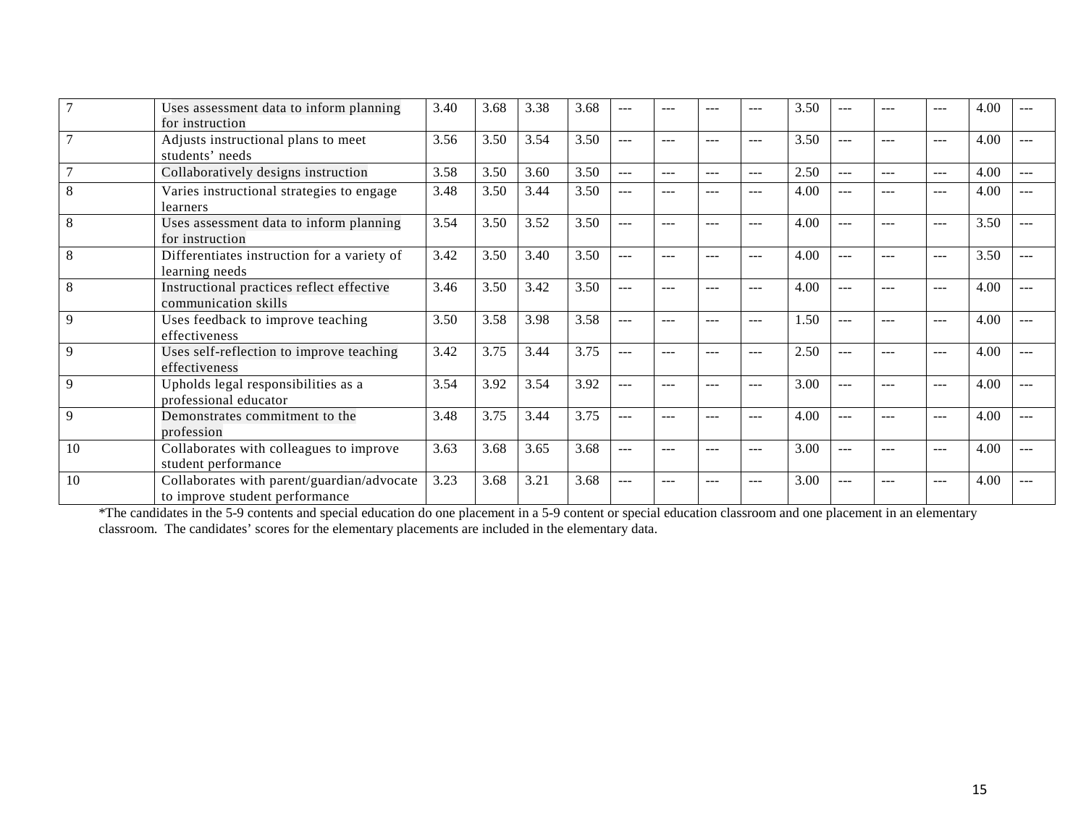|    | Uses assessment data to inform planning<br>for instruction                   | 3.40 | 3.68 | 3.38 | 3.68 |       |               |     |     | 3.50 |         | ---     | $---$ | 4.00 |     |
|----|------------------------------------------------------------------------------|------|------|------|------|-------|---------------|-----|-----|------|---------|---------|-------|------|-----|
|    | Adjusts instructional plans to meet<br>students' needs                       | 3.56 | 3.50 | 3.54 | 3.50 | $---$ | $\frac{1}{2}$ |     | --- | 3.50 | $---$   | ---     | $---$ | 4.00 |     |
|    | Collaboratively designs instruction                                          | 3.58 | 3.50 | 3.60 | 3.50 | $---$ | $\frac{1}{2}$ | --- | --- | 2.50 | $---$   | ---     | $---$ | 4.00 | --- |
|    | Varies instructional strategies to engage<br>learners                        | 3.48 | 3.50 | 3.44 | 3.50 | $---$ |               |     | --- | 4.00 |         |         | $---$ | 4.00 |     |
| 8  | Uses assessment data to inform planning<br>for instruction                   | 3.54 | 3.50 | 3.52 | 3.50 | $ -$  | $---$         | --- | --- | 4.00 | ---     | ---     | $---$ | 3.50 |     |
| 8  | Differentiates instruction for a variety of<br>learning needs                | 3.42 | 3.50 | 3.40 | 3.50 | $---$ | ---           | --- | --- | 4.00 | ---     | ---     | $---$ | 3.50 |     |
| 8  | Instructional practices reflect effective<br>communication skills            | 3.46 | 3.50 | 3.42 | 3.50 | $---$ | ---           | --- | --- | 4.00 | $- - -$ | $- - -$ | $---$ | 4.00 |     |
| 9  | Uses feedback to improve teaching<br>effectiveness                           | 3.50 | 3.58 | 3.98 | 3.58 | $---$ | ---           | --- | --- | 1.50 | $- - -$ | ---     | $---$ | 4.00 |     |
| 9  | Uses self-reflection to improve teaching<br>effectiveness                    | 3.42 | 3.75 | 3.44 | 3.75 | $---$ | ---           | --- | --- | 2.50 | $---$   | ---     | $---$ | 4.00 |     |
| 9  | Upholds legal responsibilities as a<br>professional educator                 | 3.54 | 3.92 | 3.54 | 3.92 | $---$ | $---$         | --- | --- | 3.00 | $---$   | ---     | $---$ | 4.00 |     |
| 9  | Demonstrates commitment to the<br>profession                                 | 3.48 | 3.75 | 3.44 | 3.75 | $---$ | ---           | --- | --- | 4.00 | $---$   | ---     | $---$ | 4.00 |     |
| 10 | Collaborates with colleagues to improve<br>student performance               | 3.63 | 3.68 | 3.65 | 3.68 | $---$ | ---           | --- | --- | 3.00 | $---$   | ---     | $---$ | 4.00 |     |
| 10 | Collaborates with parent/guardian/advocate<br>to improve student performance | 3.23 | 3.68 | 3.21 | 3.68 | $---$ | ---           | --- | --- | 3.00 | $- - -$ | ---     | $---$ | 4.00 | --- |

\*The candidates in the 5-9 contents and special education do one placement in a 5-9 content or special education classroom and one placement in an elementary classroom. The candidates' scores for the elementary placements are included in the elementary data.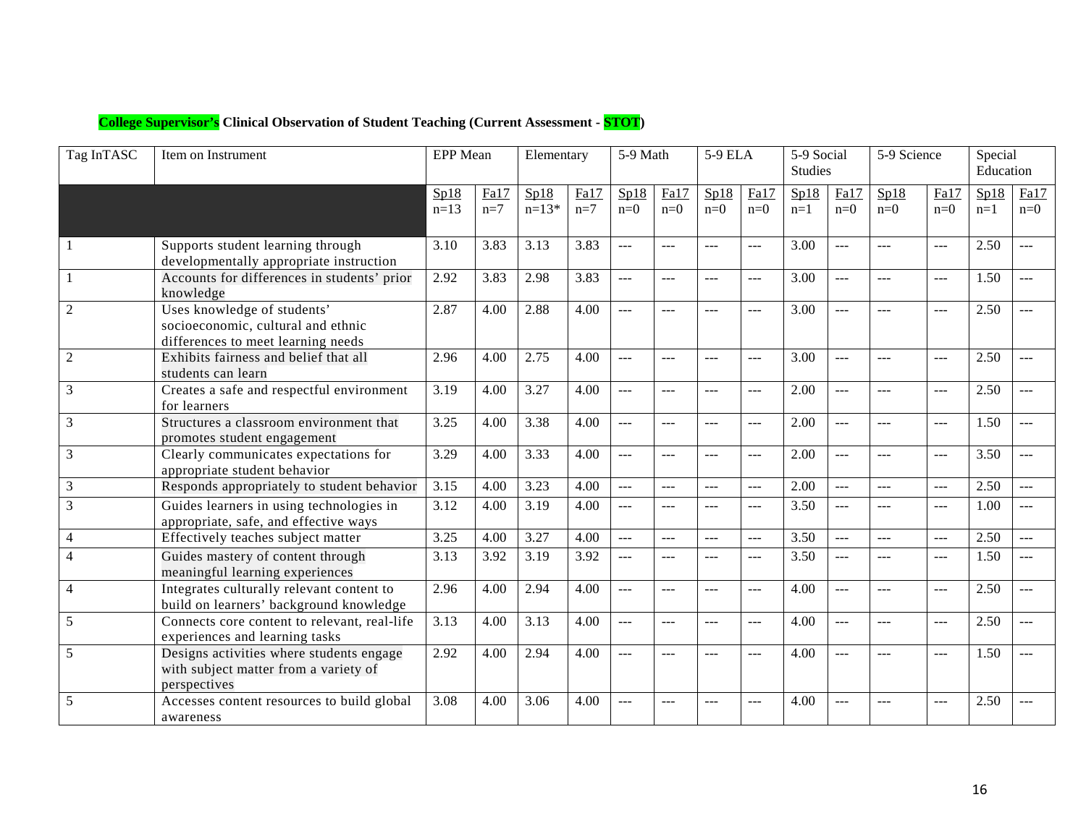| <b>College Supervisor's Clinical Observation of Student Teaching (Current Assessment - STOT)</b> |  |
|--------------------------------------------------------------------------------------------------|--|
|                                                                                                  |  |

| Tag InTASC     | Item on Instrument                                                                                      | <b>EPP</b> Mean |               | Elementary      |                   | 5-9 Math       |                | 5-9 ELA        |                | 5-9 Social<br><b>Studies</b> |                | 5-9 Science    |                                             | Special<br>Education |               |
|----------------|---------------------------------------------------------------------------------------------------------|-----------------|---------------|-----------------|-------------------|----------------|----------------|----------------|----------------|------------------------------|----------------|----------------|---------------------------------------------|----------------------|---------------|
|                |                                                                                                         | Sp18<br>$n=13$  | Fa17<br>$n=7$ | Sp18<br>$n=13*$ | Fa17<br>$n=7$     | Sp18<br>$n=0$  | Fa17<br>$n=0$  | Sp18<br>$n=0$  | Fa17<br>$n=0$  | Sp18<br>$n=1$                | Fa17<br>$n=0$  | Sp18<br>$n=0$  | Fa17<br>$n=0$                               | Sp18<br>$n=1$        | Fa17<br>$n=0$ |
|                | Supports student learning through<br>developmentally appropriate instruction                            | 3.10            | 3.83          | 3.13            | 3.83              | $---$          | $\frac{1}{2}$  | <b></b>        | $---$          | 3.00                         | ---            | $\frac{1}{2}$  | $\scriptstyle \cdots$ $\scriptstyle \cdots$ | 2.50                 | $---$         |
|                | Accounts for differences in students' prior<br>knowledge                                                | 2.92            | 3.83          | 2.98            | 3.83              | $\frac{1}{2}$  | $\overline{a}$ | шш.,           | $\overline{a}$ | 3.00                         | $---$          | $\overline{a}$ | $\sim$ $\sim$ $\sim$                        | 1.50                 |               |
| $\overline{2}$ | Uses knowledge of students'<br>socioeconomic, cultural and ethnic<br>differences to meet learning needs | 2.87            | 4.00          | 2.88            | 4.00              | $\overline{a}$ | $---$          | $---$          | $\overline{a}$ | 3.00                         | $---$          | $\overline{a}$ | $  -$                                       | 2.50                 | $---$         |
| $\overline{c}$ | Exhibits fairness and belief that all<br>students can learn                                             | 2.96            | 4.00          | 2.75            | 4.00              | $---$          | $---$          | $ -$           | $\overline{a}$ | 3.00                         | $---$          | $---$          | $---$                                       | 2.50                 |               |
| 3              | Creates a safe and respectful environment<br>for learners                                               | 3.19            | 4.00          | 3.27            | 4.00              | $---$          | $\frac{1}{2}$  | $---$          | $\overline{a}$ | 2.00                         | $---$          | $---$          | $\frac{1}{2}$                               | 2.50                 |               |
| 3              | Structures a classroom environment that<br>promotes student engagement                                  | 3.25            | 4.00          | 3.38            | 4.00              | $\frac{1}{2}$  | $---$          | $-$            | $---$          | 2.00                         | $---$          | ---            | $---$                                       | 1.50                 |               |
| 3              | Clearly communicates expectations for<br>appropriate student behavior                                   | 3.29            | 4.00          | 3.33            | 4.00              | $\frac{1}{2}$  | ---            |                | $\frac{1}{2}$  | 2.00                         | ---            | ---            | $\overline{a}$                              | 3.50                 |               |
| 3              | Responds appropriately to student behavior                                                              | 3.15            | 4.00          | 3.23            | 4.00              | $\frac{1}{2}$  | $\frac{1}{2}$  | $\overline{a}$ | $\overline{a}$ | 2.00                         | $\overline{a}$ | $---$          | $\scriptstyle \cdots$ $\scriptstyle \cdots$ | 2.50                 | $---$         |
| 3              | Guides learners in using technologies in<br>appropriate, safe, and effective ways                       | 3.12            | 4.00          | 3.19            | 4.00              | ---            | $---$          | $---$          | ---            | 3.50                         | ---            | ---            | $---$                                       | 1.00                 |               |
| 4              | Effectively teaches subject matter                                                                      | 3.25            | 4.00          | 3.27            | $\overline{4.00}$ | $\overline{a}$ | $\overline{a}$ | $\overline{a}$ | $\overline{a}$ | 3.50                         | $\overline{a}$ | $\overline{a}$ | $\sim$ $\sim$ $\sim$                        | 2.50                 | $---$         |
| 4              | Guides mastery of content through<br>meaningful learning experiences                                    | 3.13            | 3.92          | 3.19            | 3.92              | $---$          | $---$          | $---$          | ---            | 3.50                         | ---            | $---$          | $  -$                                       | 1.50                 |               |
| 4              | Integrates culturally relevant content to<br>build on learners' background knowledge                    | 2.96            | 4.00          | 2.94            | 4.00              | $ -$           | $---$          | шш.,           | $\overline{a}$ | 4.00                         | $---$          | $---$          | $\sim$ $\sim$ $\sim$                        | 2.50                 |               |
| 5              | Connects core content to relevant, real-life<br>experiences and learning tasks                          | 3.13            | 4.00          | 3.13            | 4.00              | $\overline{a}$ | $\overline{a}$ | $\overline{a}$ | $\overline{a}$ | 4.00                         | ---            | ---            | $\overline{a}$                              | 2.50                 |               |
| 5              | Designs activities where students engage<br>with subject matter from a variety of<br>perspectives       | 2.92            | 4.00          | 2.94            | 4.00              | $---$          | $---$          | $ -$           | $\sim$         | 4.00                         |                | $---$          | $---$                                       | 1.50                 |               |
| 5              | Accesses content resources to build global<br>awareness                                                 | 3.08            | 4.00          | 3.06            | 4.00              |                | $-$            |                | ---            | 4.00                         |                |                | $---$                                       | 2.50                 |               |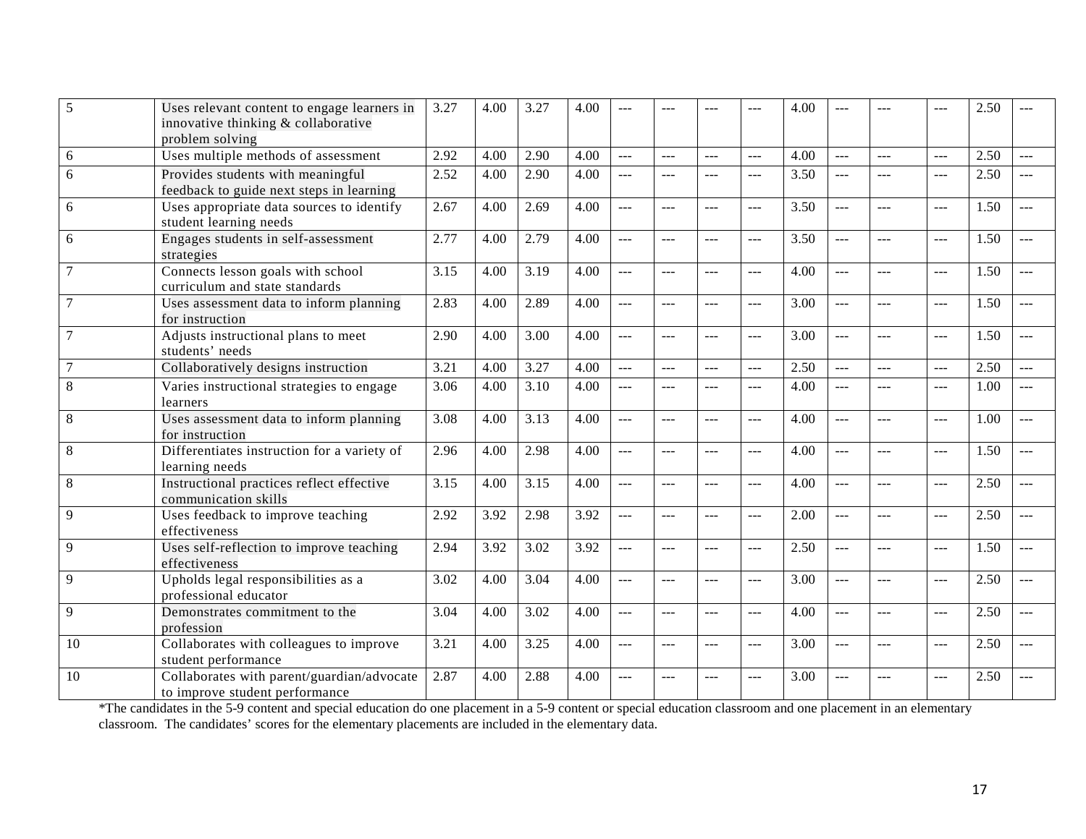| 5              | Uses relevant content to engage learners in<br>innovative thinking & collaborative<br>problem solving | 3.27              | 4.00 | 3.27 | 4.00 | $---$          |                |            | ---            | 4.00 |                | ---            | $---$                | 2.50 |                |
|----------------|-------------------------------------------------------------------------------------------------------|-------------------|------|------|------|----------------|----------------|------------|----------------|------|----------------|----------------|----------------------|------|----------------|
| 6              | Uses multiple methods of assessment                                                                   | 2.92              | 4.00 | 2.90 | 4.00 | $\frac{1}{2}$  | $\overline{a}$ | <u>---</u> | $\overline{a}$ | 4.00 | ---            | ---            | $\overline{a}$       | 2.50 | $---$          |
| 6              | Provides students with meaningful<br>feedback to guide next steps in learning                         | 2.52              | 4.00 | 2.90 | 4.00 | $\overline{a}$ | $-$            | $ -$       | $\frac{1}{2}$  | 3.50 | $---$          | $---$          | $\frac{1}{2}$        | 2.50 | $\overline{a}$ |
| 6              | Uses appropriate data sources to identify<br>student learning needs                                   | 2.67              | 4.00 | 2.69 | 4.00 | $\overline{a}$ | $-$            | $ -$       | $\frac{1}{2}$  | 3.50 | $---$          | $---$          | $\frac{1}{2}$        | 1.50 | $---$          |
| 6              | Engages students in self-assessment<br>strategies                                                     | 2.77              | 4.00 | 2.79 | 4.00 | $\overline{a}$ | $---$          | $ -$       | $\frac{1}{2}$  | 3.50 | $-$            | $---$          | $\frac{1}{2}$        | 1.50 | $---$          |
|                | Connects lesson goals with school<br>curriculum and state standards                                   | 3.15              | 4.00 | 3.19 | 4.00 | $---$          | $---$          | $ -$       | $---$          | 4.00 | $-$            | $---$          | $\frac{1}{2}$        | 1.50 | $---$          |
|                | Uses assessment data to inform planning<br>for instruction                                            | 2.83              | 4.00 | 2.89 | 4.00 | $\sim$         | $\sim$         | $---$      | $---$          | 3.00 | $\sim$         | $\overline{a}$ | $\frac{1}{2}$        | 1.50 | $\sim$         |
| $\overline{7}$ | Adjusts instructional plans to meet<br>students' needs                                                | 2.90              | 4.00 | 3.00 | 4.00 | $\overline{a}$ | $---$          | $---$      | $\frac{1}{2}$  | 3.00 | $-$            | $---$          | $\overline{a}$       | 1.50 | $---$          |
|                | Collaboratively designs instruction                                                                   | 3.21              | 4.00 | 3.27 | 4.00 | $\overline{a}$ | $---$          | $---$      | $\overline{a}$ | 2.50 | $\overline{a}$ | $\overline{a}$ | $\overline{a}$       | 2.50 | $-$            |
| 8              | Varies instructional strategies to engage<br>learners                                                 | 3.06              | 4.00 | 3.10 | 4.00 | $\sim$ $\sim$  | $---$          | $---$      | $\overline{a}$ | 4.00 | $\overline{a}$ | $\overline{a}$ | $\overline{a}$       | 1.00 | $---$          |
| 8              | Uses assessment data to inform planning<br>for instruction                                            | 3.08              | 4.00 | 3.13 | 4.00 | $\overline{a}$ | $---$          | $---$      | $\frac{1}{2}$  | 4.00 | $---$          | $---$          | $  -$                | 1.00 | $---$          |
| 8              | Differentiates instruction for a variety of<br>learning needs                                         | 2.96              | 4.00 | 2.98 | 4.00 | $\frac{1}{2}$  | $\sim$         | $---$      | $---$          | 4.00 | $---$          | $\overline{a}$ | $-$                  | 1.50 | $---$          |
| 8              | Instructional practices reflect effective<br>communication skills                                     | $\overline{3.15}$ | 4.00 | 3.15 | 4.00 | $\sim$         | $---$          | $---$      | $---$          | 4.00 | $---$          | $- - -$        | $-$                  | 2.50 | $\sim$         |
| 9              | Uses feedback to improve teaching<br>effectiveness                                                    | 2.92              | 3.92 | 2.98 | 3.92 | $\overline{a}$ | $\overline{a}$ | $-$        | $\overline{a}$ | 2.00 | $\overline{a}$ | $\frac{1}{2}$  | $  -$                | 2.50 | $---$          |
| 9              | Uses self-reflection to improve teaching<br>effectiveness                                             | 2.94              | 3.92 | 3.02 | 3.92 | $\overline{a}$ | $---$          | $---$      | $\frac{1}{2}$  | 2.50 | $---$          | $---$          | $\frac{1}{2}$        | 1.50 | $---$          |
| 9              | Upholds legal responsibilities as a<br>professional educator                                          | 3.02              | 4.00 | 3.04 | 4.00 | $\overline{a}$ | $\overline{a}$ | $---$      | $\overline{a}$ | 3.00 | $\overline{a}$ | $\overline{a}$ | $  -$                | 2.50 | $---$          |
| 9              | Demonstrates commitment to the<br>profession                                                          | 3.04              | 4.00 | 3.02 | 4.00 | $\overline{a}$ | $---$          | $---$      | $\frac{1}{2}$  | 4.00 | $-$            | ---            | $\sim$ $\sim$ $\sim$ | 2.50 | $---$          |
| 10             | Collaborates with colleagues to improve<br>student performance                                        | 3.21              | 4.00 | 3.25 | 4.00 | $\overline{a}$ | $---$          | $---$      | $\frac{1}{2}$  | 3.00 | $---$          | $---$          | $  -$                | 2.50 | $---$          |
| 10             | Collaborates with parent/guardian/advocate<br>to improve student performance                          | 2.87              | 4.00 | 2.88 | 4.00 | $---$          |                |            | ---            | 3.00 | $-$ --         | $-$ --         | $---$                | 2.50 | ---            |

\*The candidates in the 5-9 content and special education do one placement in a 5-9 content or special education classroom and one placement in an elementary classroom. The candidates' scores for the elementary placements are included in the elementary data.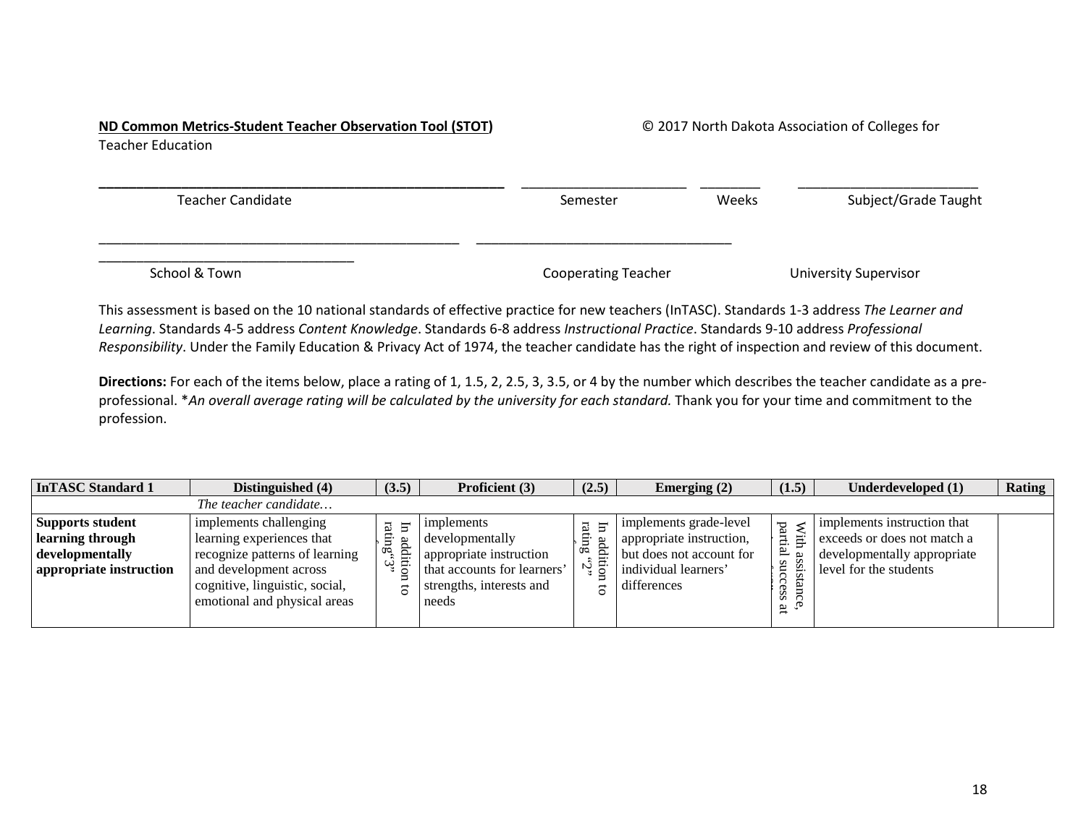# **ND Common Metrics-Student Teacher Observation Tool (STOT)** © 2017 North Dakota Association of Colleges for

Teacher Education

| <b>Teacher Candidate</b> | Semester                   | Weeks | Subject/Grade Taught         |
|--------------------------|----------------------------|-------|------------------------------|
|                          |                            |       |                              |
| School & Town            | <b>Cooperating Teacher</b> |       | <b>University Supervisor</b> |

This assessment is based on the 10 national standards of effective practice for new teachers (InTASC). Standards 1-3 address *The Learner and Learning*. Standards 4-5 address *Content Knowledge*. Standards 6-8 address *Instructional Practice*. Standards 9-10 address *Professional Responsibility*. Under the Family Education & Privacy Act of 1974, the teacher candidate has the right of inspection and review of this document.

**Directions:** For each of the items below, place a rating of 1, 1.5, 2, 2.5, 3, 3.5, or 4 by the number which describes the teacher candidate as a preprofessional. \**An overall average rating will be calculated by the university for each standard.* Thank you for your time and commitment to the profession.

| <b>InTASC Standard 1</b>                                                           | Distinguished (4)                                                                                                                                                                 | (3.5)                                          | Proficient (3)                                                                                                               | (2.5)                                     | Emerging $(2)$                                                                                                        | (1.5)                                                                     | Underdeveloped (1)                                                                                                  | Rating |
|------------------------------------------------------------------------------------|-----------------------------------------------------------------------------------------------------------------------------------------------------------------------------------|------------------------------------------------|------------------------------------------------------------------------------------------------------------------------------|-------------------------------------------|-----------------------------------------------------------------------------------------------------------------------|---------------------------------------------------------------------------|---------------------------------------------------------------------------------------------------------------------|--------|
|                                                                                    | The teacher candidate                                                                                                                                                             |                                                |                                                                                                                              |                                           |                                                                                                                       |                                                                           |                                                                                                                     |        |
| Supports student<br>learning through<br>developmentally<br>appropriate instruction | implements challenging<br>learning experiences that<br>recognize patterns of learning<br>and development across<br>cognitive, linguistic, social,<br>emotional and physical areas | 13<br>부<br>Ξ.<br>addi<br>œ<br>₩<br>ω<br>g<br>ธ | implements<br>developmentally<br>appropriate instruction<br>that accounts for learners'<br>strengths, interests and<br>needs | Ħ<br>್ತ<br>Þ<br>0 <sup>o</sup><br>Ŋ,<br>e | implements grade-level<br>appropriate instruction,<br>but does not account for<br>individual learners'<br>differences | $\ensuremath{\mathbf{W}\text{itth}}$<br>F,<br>ß<br>S<br>ີ<br>نظ<br>S<br>ä | implements instruction that<br>exceeds or does not match a<br>developmentally appropriate<br>level for the students |        |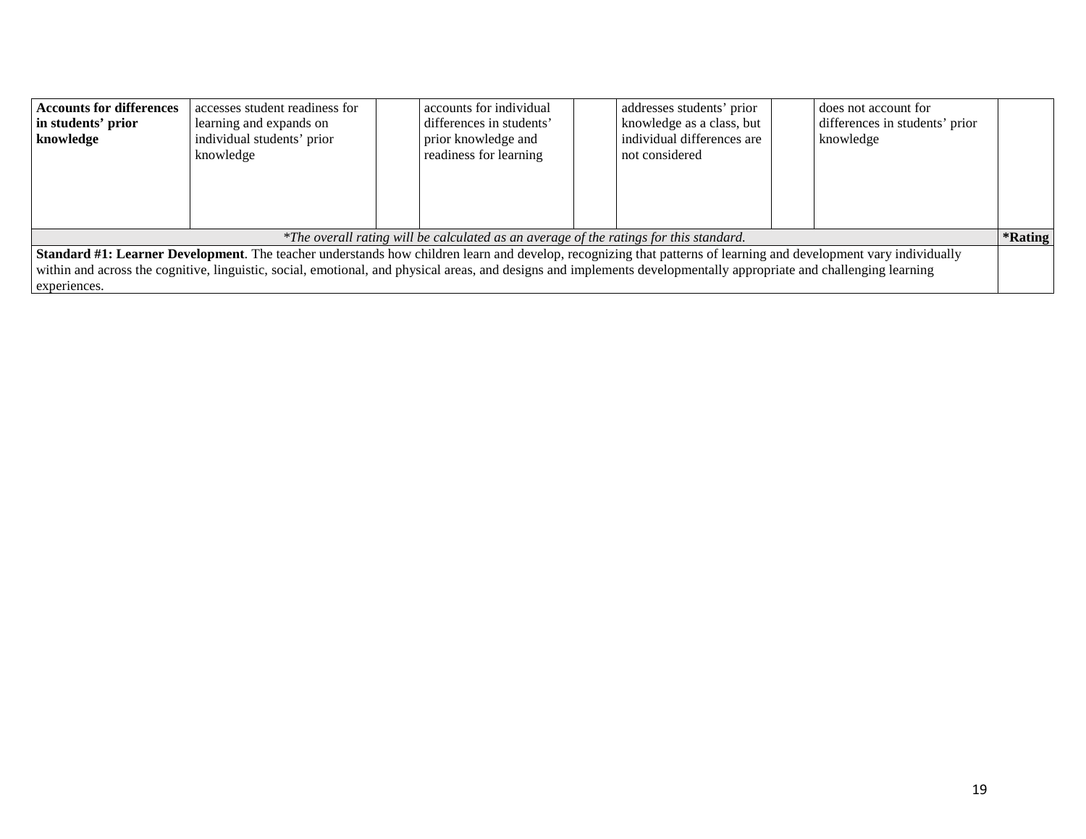| <b>Accounts for differences</b> | accesses student readiness for                                                                                                                                            | accounts for individual                                                                | addresses students' prior  | does not account for           |         |
|---------------------------------|---------------------------------------------------------------------------------------------------------------------------------------------------------------------------|----------------------------------------------------------------------------------------|----------------------------|--------------------------------|---------|
| in students' prior              | learning and expands on                                                                                                                                                   | differences in students'                                                               | knowledge as a class, but  | differences in students' prior |         |
| knowledge                       | individual students' prior                                                                                                                                                | prior knowledge and                                                                    | individual differences are | knowledge                      |         |
|                                 | knowledge                                                                                                                                                                 | readiness for learning                                                                 | not considered             |                                |         |
|                                 |                                                                                                                                                                           |                                                                                        |                            |                                |         |
|                                 |                                                                                                                                                                           |                                                                                        |                            |                                |         |
|                                 |                                                                                                                                                                           |                                                                                        |                            |                                |         |
|                                 |                                                                                                                                                                           |                                                                                        |                            |                                |         |
|                                 |                                                                                                                                                                           | *The overall rating will be calculated as an average of the ratings for this standard. |                            |                                | *Rating |
|                                 | <b>Standard #1: Learner Development</b> . The teacher understands how children learn and develop, recognizing that patterns of learning and development vary individually |                                                                                        |                            |                                |         |
|                                 | within and across the cognitive, linguistic, social, emotional, and physical areas, and designs and implements developmentally appropriate and challenging learning       |                                                                                        |                            |                                |         |
| experiences.                    |                                                                                                                                                                           |                                                                                        |                            |                                |         |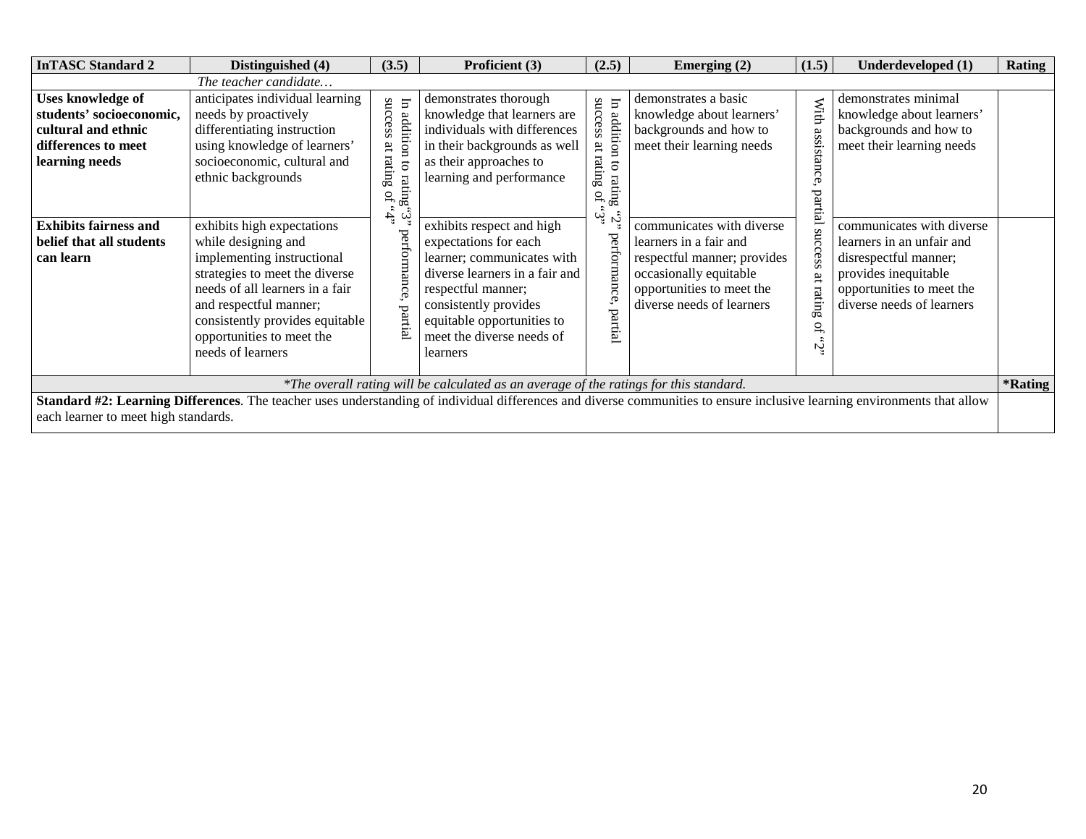| <b>InTASC Standard 2</b>                                                                                      | Distinguished (4)                                                                                                                                                                                                                                                   | (3.5)                                                                                      | Proficient (3)                                                                                                                                                                                                                           | (2.5)                                                                                                    | Emerging $(2)$                                                                                                                                                         | (1.5)                      | Underdeveloped (1)                                                                                                                                                | <b>Rating</b>         |
|---------------------------------------------------------------------------------------------------------------|---------------------------------------------------------------------------------------------------------------------------------------------------------------------------------------------------------------------------------------------------------------------|--------------------------------------------------------------------------------------------|------------------------------------------------------------------------------------------------------------------------------------------------------------------------------------------------------------------------------------------|----------------------------------------------------------------------------------------------------------|------------------------------------------------------------------------------------------------------------------------------------------------------------------------|----------------------------|-------------------------------------------------------------------------------------------------------------------------------------------------------------------|-----------------------|
|                                                                                                               | The teacher candidate                                                                                                                                                                                                                                               |                                                                                            |                                                                                                                                                                                                                                          |                                                                                                          |                                                                                                                                                                        |                            |                                                                                                                                                                   |                       |
| Uses knowledge of<br>students' socioeconomic,<br>cultural and ethnic<br>differences to meet<br>learning needs | anticipates individual learning<br>needs by proactively<br>differentiating instruction<br>using knowledge of learners'<br>socioeconomic, cultural and<br>ethnic backgrounds                                                                                         | success<br>$\Xi$<br>additi<br>ΆĻ<br>$\mathbf{S}$<br>rating<br><b>S</b><br>rati<br>$\Omega$ | demonstrates thorough<br>knowledge that learners are<br>individuals with differences<br>in their backgrounds as well<br>as their approaches to<br>learning and performance                                                               | success<br>In addition<br>$\overline{\mathrm{at}}$<br>$\operatorname*{g}$<br>5<br>rating<br>$\mathbf{G}$ | demonstrates a basic<br>knowledge about learners'<br>backgrounds and how to<br>meet their learning needs                                                               | With<br>assista<br>partial | demonstrates minimal<br>knowledge about learners'<br>backgrounds and how to<br>meet their learning needs                                                          |                       |
| <b>Exhibits fairness and</b><br>belief that all students<br>can learn                                         | exhibits high expectations<br>while designing and<br>implementing instructional<br>strategies to meet the diverse<br>needs of all learners in a fair<br>and respectful manner;<br>consistently provides equitable<br>opportunities to meet the<br>needs of learners | ĻŽ.<br>ಇ<br>Бą                                                                             | exhibits respect and high<br>expectations for each<br>learner; communicates with<br>diverse learners in a fair and<br>respectful manner;<br>consistently provides<br>equitable opportunities to<br>meet the diverse needs of<br>learners | وني،<br>Ć<br>performance,<br>partial                                                                     | communicates with diverse<br>learners in a fair and<br>respectful manner; provides<br>occasionally equitable<br>opportunities to meet the<br>diverse needs of learners | ກແ<br>$\frac{1}{2}$<br>Ŗ   | communicates with diverse<br>learners in an unfair and<br>disrespectful manner;<br>provides inequitable<br>opportunities to meet the<br>diverse needs of learners |                       |
|                                                                                                               |                                                                                                                                                                                                                                                                     |                                                                                            | *The overall rating will be calculated as an average of the ratings for this standard.                                                                                                                                                   |                                                                                                          |                                                                                                                                                                        |                            |                                                                                                                                                                   | <i><b>*Rating</b></i> |
| each learner to meet high standards.                                                                          | Standard #2: Learning Differences. The teacher uses understanding of individual differences and diverse communities to ensure inclusive learning environments that allow                                                                                            |                                                                                            |                                                                                                                                                                                                                                          |                                                                                                          |                                                                                                                                                                        |                            |                                                                                                                                                                   |                       |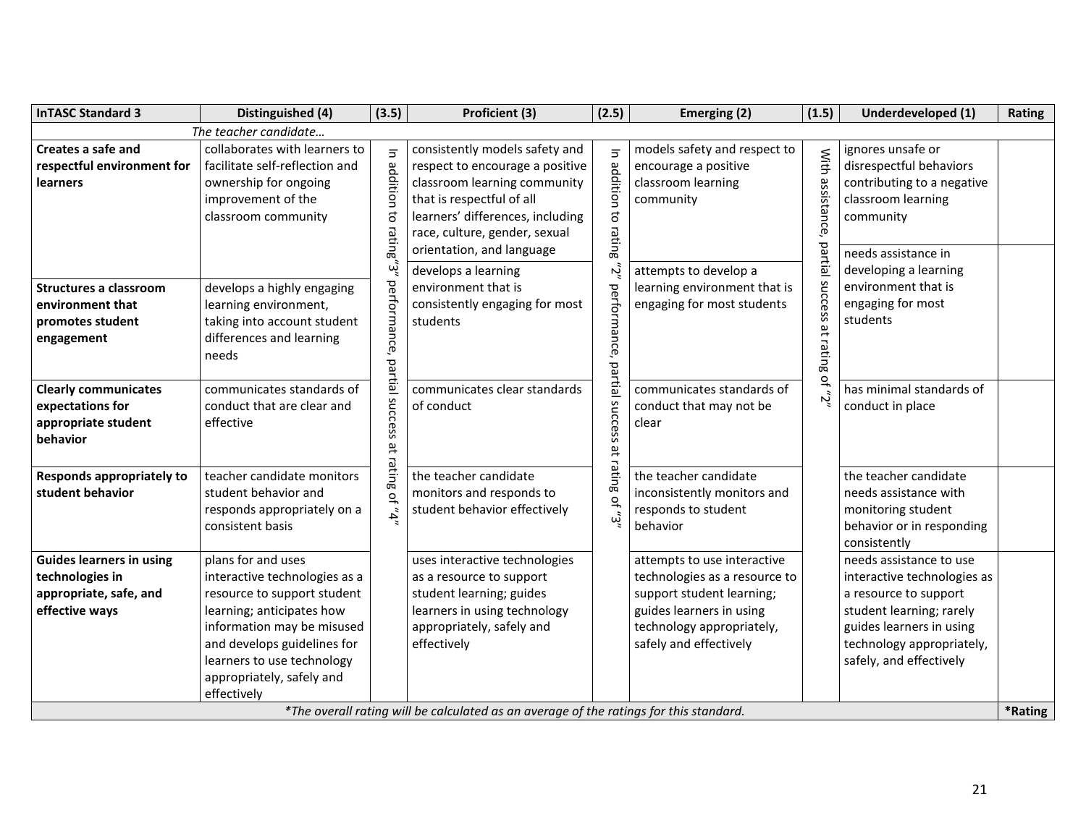| <b>InTASC Standard 3</b>                                                                       | Distinguished (4)                                                                                                                                                                                                                                      | (3.5)                                        | Proficient (3)                                                                                                                                                                                                                                          | (2.5)                                        | Emerging (2)                                                                                                                                                                 | (1.5)                                                  | Underdeveloped (1)                                                                                                                                                                              | Rating  |
|------------------------------------------------------------------------------------------------|--------------------------------------------------------------------------------------------------------------------------------------------------------------------------------------------------------------------------------------------------------|----------------------------------------------|---------------------------------------------------------------------------------------------------------------------------------------------------------------------------------------------------------------------------------------------------------|----------------------------------------------|------------------------------------------------------------------------------------------------------------------------------------------------------------------------------|--------------------------------------------------------|-------------------------------------------------------------------------------------------------------------------------------------------------------------------------------------------------|---------|
|                                                                                                | The teacher candidate                                                                                                                                                                                                                                  |                                              |                                                                                                                                                                                                                                                         |                                              |                                                                                                                                                                              |                                                        |                                                                                                                                                                                                 |         |
| Creates a safe and<br>respectful environment for<br>learners                                   | collaborates with learners to<br>facilitate self-reflection and<br>ownership for ongoing<br>improvement of the<br>classroom community                                                                                                                  | $\overline{5}$<br>addition<br>đ<br>rating"3" | consistently models safety and<br>respect to encourage a positive<br>classroom learning community<br>that is respectful of all<br>learners' differences, including<br>race, culture, gender, sexual<br>orientation, and language<br>develops a learning | $\overline{5}$<br>addition to rating<br>ارح، | models safety and respect to<br>encourage a positive<br>classroom learning<br>community<br>attempts to develop a                                                             | With<br>assistance,                                    | ignores unsafe or<br>disrespectful behaviors<br>contributing to a negative<br>classroom learning<br>community<br>needs assistance in<br>developing a learning                                   |         |
| Structures a classroom<br>environment that<br>promotes student<br>engagement                   | develops a highly engaging<br>learning environment,<br>taking into account student<br>differences and learning<br>needs                                                                                                                                | performance,                                 | environment that is<br>consistently engaging for most<br>students                                                                                                                                                                                       | performance,                                 | learning environment that is<br>engaging for most students                                                                                                                   | partial success<br>$\overline{\mathfrak{n}}$<br>rating | environment that is<br>engaging for most<br>students                                                                                                                                            |         |
| <b>Clearly communicates</b><br>expectations for<br>appropriate student<br>behavior             | communicates standards of<br>conduct that are clear and<br>effective                                                                                                                                                                                   | partial success                              | communicates clear standards<br>of conduct                                                                                                                                                                                                              | partial success                              | communicates standards of<br>conduct that may not be<br>clear                                                                                                                | 읶<br>Ŋ,                                                | has minimal standards of<br>conduct in place                                                                                                                                                    |         |
| <b>Responds appropriately to</b><br>student behavior                                           | teacher candidate monitors<br>student behavior and<br>responds appropriately on a<br>consistent basis                                                                                                                                                  | at rating<br>$n^2$ , $\partial$ <sub>t</sub> | the teacher candidate<br>monitors and responds to<br>student behavior effectively                                                                                                                                                                       | at rating of " $3"$                          | the teacher candidate<br>inconsistently monitors and<br>responds to student<br>behavior                                                                                      |                                                        | the teacher candidate<br>needs assistance with<br>monitoring student<br>behavior or in responding<br>consistently                                                                               |         |
| <b>Guides learners in using</b><br>technologies in<br>appropriate, safe, and<br>effective ways | plans for and uses<br>interactive technologies as a<br>resource to support student<br>learning; anticipates how<br>information may be misused<br>and develops guidelines for<br>learners to use technology<br>appropriately, safely and<br>effectively |                                              | uses interactive technologies<br>as a resource to support<br>student learning; guides<br>learners in using technology<br>appropriately, safely and<br>effectively                                                                                       |                                              | attempts to use interactive<br>technologies as a resource to<br>support student learning;<br>guides learners in using<br>technology appropriately,<br>safely and effectively |                                                        | needs assistance to use<br>interactive technologies as<br>a resource to support<br>student learning; rarely<br>guides learners in using<br>technology appropriately,<br>safely, and effectively |         |
|                                                                                                |                                                                                                                                                                                                                                                        |                                              | *The overall rating will be calculated as an average of the ratings for this standard.                                                                                                                                                                  |                                              |                                                                                                                                                                              |                                                        |                                                                                                                                                                                                 | *Rating |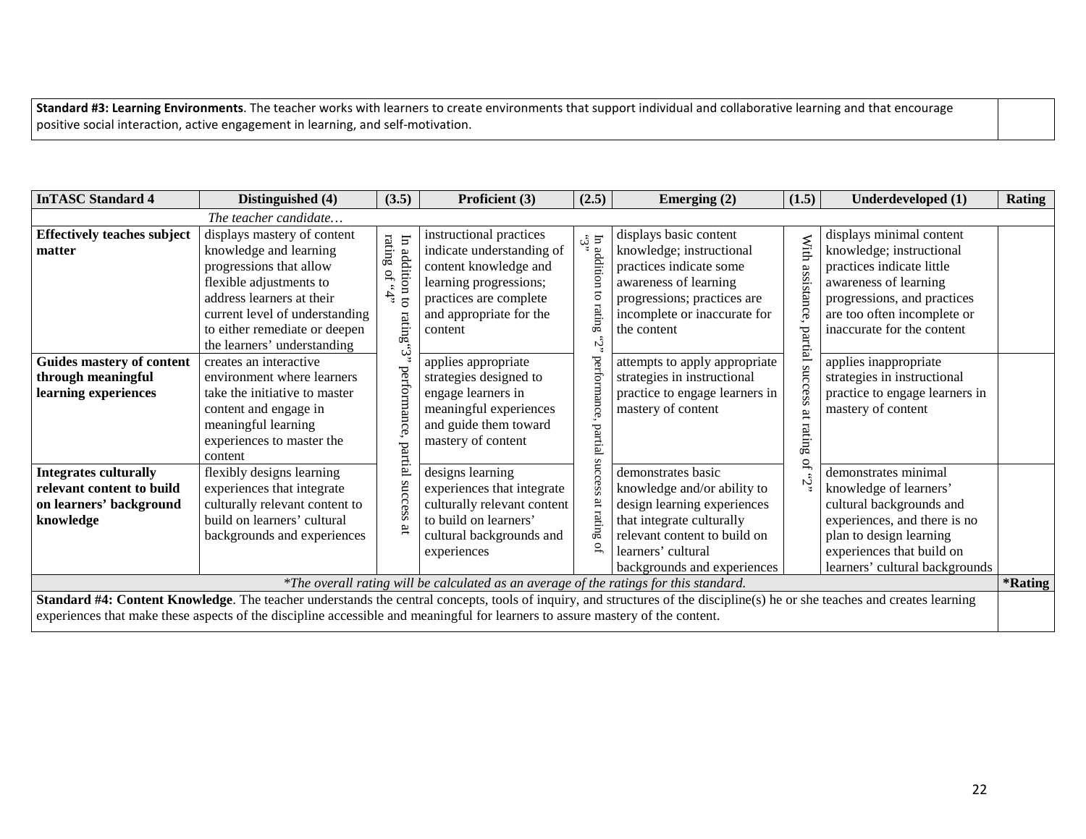**Standard #3: Learning Environments**. The teacher works with learners to create environments that support individual and collaborative learning and that encourage positive social interaction, active engagement in learning, and self-motivation.

| <b>InTASC Standard 4</b>                                                                          | Distinguished (4)                                                                                                                                                                                                                                                                                            | (3.5)                                                                        | Proficient (3)                                                                                                                                                          | (2.5)                                                                                                     | Emerging $(2)$                                                                                                                                                                                     | (1.5)                        | Underdeveloped (1)                                                                                                                                                                                     | <b>Rating</b> |
|---------------------------------------------------------------------------------------------------|--------------------------------------------------------------------------------------------------------------------------------------------------------------------------------------------------------------------------------------------------------------------------------------------------------------|------------------------------------------------------------------------------|-------------------------------------------------------------------------------------------------------------------------------------------------------------------------|-----------------------------------------------------------------------------------------------------------|----------------------------------------------------------------------------------------------------------------------------------------------------------------------------------------------------|------------------------------|--------------------------------------------------------------------------------------------------------------------------------------------------------------------------------------------------------|---------------|
|                                                                                                   | The teacher candidate                                                                                                                                                                                                                                                                                        |                                                                              |                                                                                                                                                                         |                                                                                                           |                                                                                                                                                                                                    |                              |                                                                                                                                                                                                        |               |
| <b>Effectively teaches subject</b><br>matter                                                      | displays mastery of content<br>knowledge and learning<br>progressions that allow<br>flexible adjustments to<br>address learners at their<br>current level of understanding<br>to either remediate or deepen<br>the learners' understanding                                                                   | $``t",$ $\mathop{\rm \mathsf{to}}$ of $``t"$<br>$\Xi$<br>addition<br>rating" | instructional practices<br>indicate understanding of<br>content knowledge and<br>learning progressions;<br>practices are complete<br>and appropriate for the<br>content | $\mathfrak{c}_{\mathfrak{s}}$ $\mathfrak{c}_{\mathfrak{p}}$<br>addition<br>$\overline{c}$<br>rating<br>ۋە | displays basic content<br>knowledge; instructional<br>practices indicate some<br>awareness of learning<br>progressions; practices are<br>incomplete or inaccurate for<br>the content               | With assistance,             | displays minimal content<br>knowledge; instructional<br>practices indicate little<br>awareness of learning<br>progressions, and practices<br>are too often incomplete or<br>inaccurate for the content |               |
| <b>Guides mastery of content</b><br>through meaningful<br>learning experiences                    | creates an interactive<br>environment where learners<br>take the initiative to master<br>content and engage in<br>meaningful learning<br>experiences to master the<br>content                                                                                                                                | تي<br>ن<br>performance,<br>partial                                           | applies appropriate<br>strategies designed to<br>engage learners in<br>meaningful experiences<br>and guide them toward<br>mastery of content                            | performance,<br>partial                                                                                   | attempts to apply appropriate<br>strategies in instructional<br>practice to engage learners in<br>mastery of content                                                                               | partial success<br>at rating | applies inappropriate<br>strategies in instructional<br>practice to engage learners in<br>mastery of content                                                                                           |               |
| <b>Integrates culturally</b><br>relevant content to build<br>on learners' background<br>knowledge | flexibly designs learning<br>experiences that integrate<br>culturally relevant content to<br>build on learners' cultural<br>backgrounds and experiences                                                                                                                                                      | success<br>ã                                                                 | designs learning<br>experiences that integrate<br>culturally relevant content<br>to build on learners'<br>cultural backgrounds and<br>experiences                       | success<br>ăt<br>rating                                                                                   | demonstrates basic<br>knowledge and/or ability to<br>design learning experiences<br>that integrate culturally<br>relevant content to build on<br>learners' cultural<br>backgrounds and experiences | Ŋ                            | demonstrates minimal<br>knowledge of learners'<br>cultural backgrounds and<br>experiences, and there is no<br>plan to design learning<br>experiences that build on<br>learners' cultural backgrounds   |               |
|                                                                                                   | Standard #4: Content Knowledge. The teacher understands the central concepts, tools of inquiry, and structures of the discipline(s) he or she teaches and creates learning<br>experiences that make these aspects of the discipline accessible and meaningful for learners to assure mastery of the content. |                                                                              | *The overall rating will be calculated as an average of the ratings for this standard.                                                                                  |                                                                                                           |                                                                                                                                                                                                    |                              |                                                                                                                                                                                                        | *Rating       |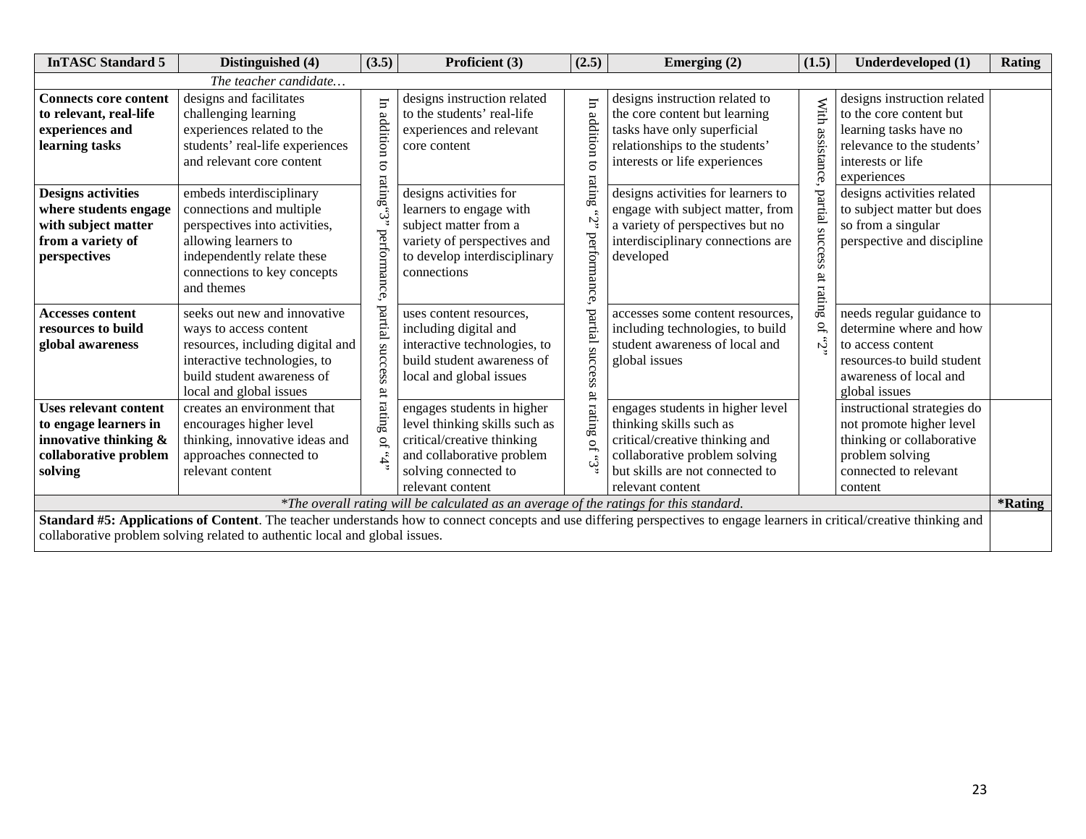| <b>InTASC Standard 5</b>                                                                                                                                                            | Distinguished (4)                                                                                                                                                                                                                                                                                                                                                               | (3.5)                                                                            | Proficient (3)                                                                                                                                                                                                                                                                                        | (2.5)                                                                      | Emerging (2)                                                                                                                                                                                                                                                                            | (1.5)                                                                     | Underdeveloped (1)                                                                                                                                                                                                                                                 | <b>Rating</b> |
|-------------------------------------------------------------------------------------------------------------------------------------------------------------------------------------|---------------------------------------------------------------------------------------------------------------------------------------------------------------------------------------------------------------------------------------------------------------------------------------------------------------------------------------------------------------------------------|----------------------------------------------------------------------------------|-------------------------------------------------------------------------------------------------------------------------------------------------------------------------------------------------------------------------------------------------------------------------------------------------------|----------------------------------------------------------------------------|-----------------------------------------------------------------------------------------------------------------------------------------------------------------------------------------------------------------------------------------------------------------------------------------|---------------------------------------------------------------------------|--------------------------------------------------------------------------------------------------------------------------------------------------------------------------------------------------------------------------------------------------------------------|---------------|
|                                                                                                                                                                                     | The teacher candidate                                                                                                                                                                                                                                                                                                                                                           |                                                                                  |                                                                                                                                                                                                                                                                                                       |                                                                            |                                                                                                                                                                                                                                                                                         |                                                                           |                                                                                                                                                                                                                                                                    |               |
| <b>Connects core content</b><br>to relevant, real-life<br>experiences and<br>learning tasks                                                                                         | designs and facilitates<br>challenging learning<br>experiences related to the<br>students' real-life experiences<br>and relevant core content                                                                                                                                                                                                                                   | $\overline{a}$<br>addition<br>$\overline{c}$                                     | designs instruction related<br>to the students' real-life<br>experiences and relevant<br>core content                                                                                                                                                                                                 | H<br>addition                                                              | designs instruction related to<br>the core content but learning<br>tasks have only superficial<br>relationships to the students'<br>interests or life experiences                                                                                                                       | With assistance.                                                          | designs instruction related<br>to the core content but<br>learning tasks have no<br>relevance to the students'<br>interests or life<br>experiences                                                                                                                 |               |
| <b>Designs activities</b><br>where students engage<br>with subject matter<br>from a variety of<br>perspectives<br><b>Accesses content</b><br>resources to build<br>global awareness | embeds interdisciplinary<br>connections and multiple<br>perspectives into activities,<br>allowing learners to<br>independently relate these<br>connections to key concepts<br>and themes<br>seeks out new and innovative<br>ways to access content<br>resources, including digital and<br>interactive technologies, to<br>build student awareness of<br>local and global issues | ratmg<br>$\ddot{\omega}$<br>performance,<br>partial<br>success<br>$\overline{a}$ | designs activities for<br>learners to engage with<br>subject matter from a<br>variety of perspectives and<br>to develop interdisciplinary<br>connections<br>uses content resources,<br>including digital and<br>interactive technologies, to<br>build student awareness of<br>local and global issues | ratmg<br>Ň<br>performance<br>partial<br>success<br>$\overline{\mathrm{a}}$ | designs activities for learners to<br>engage with subject matter, from<br>a variety of perspectives but no<br>interdisciplinary connections are<br>developed<br>accesses some content resources,<br>including technologies, to build<br>student awareness of local and<br>global issues | partial<br>$\frac{1}{2}$<br>ess<br>ä<br>$\mathcal{L}_{\mathcal{A}}$<br>i, | designs activities related<br>to subject matter but does<br>so from a singular<br>perspective and discipline<br>needs regular guidance to<br>determine where and how<br>to access content<br>resources-to build student<br>awareness of local and<br>global issues |               |
| <b>Uses relevant content</b><br>to engage learners in<br>innovative thinking &<br>collaborative problem<br>solving                                                                  | creates an environment that<br>encourages higher level<br>thinking, innovative ideas and<br>approaches connected to<br>relevant content                                                                                                                                                                                                                                         | rating<br>$\Omega$<br>i,                                                         | engages students in higher<br>level thinking skills such as<br>critical/creative thinking<br>and collaborative problem<br>solving connected to<br>relevant content                                                                                                                                    | rating<br>$\tilde{\sigma}$<br><u>ی</u><br>با                               | engages students in higher level<br>thinking skills such as<br>critical/creative thinking and<br>collaborative problem solving<br>but skills are not connected to<br>relevant content                                                                                                   |                                                                           | instructional strategies do<br>not promote higher level<br>thinking or collaborative<br>problem solving<br>connected to relevant<br>content                                                                                                                        |               |
|                                                                                                                                                                                     |                                                                                                                                                                                                                                                                                                                                                                                 |                                                                                  | *The overall rating will be calculated as an average of the ratings for this standard.                                                                                                                                                                                                                |                                                                            |                                                                                                                                                                                                                                                                                         |                                                                           |                                                                                                                                                                                                                                                                    | *Rating       |
|                                                                                                                                                                                     | collaborative problem solving related to authentic local and global issues.                                                                                                                                                                                                                                                                                                     |                                                                                  |                                                                                                                                                                                                                                                                                                       |                                                                            | Standard #5: Applications of Content. The teacher understands how to connect concepts and use differing perspectives to engage learners in critical/creative thinking and                                                                                                               |                                                                           |                                                                                                                                                                                                                                                                    |               |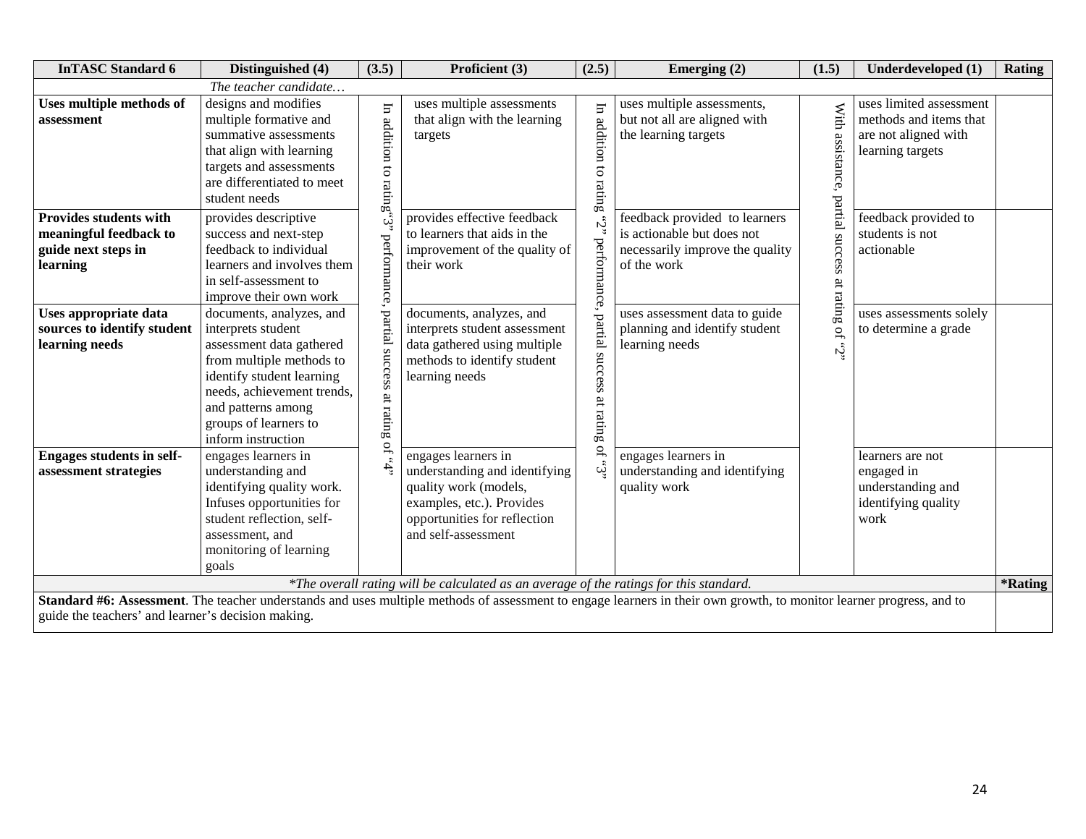| <b>InTASC Standard 6</b>                                                               | Distinguished (4)                                                                                                                                                                                                                      | (3.5)                     | Proficient (3)                                                                                                                                                    | (2.5)                                  | Emerging $(2)$                                                                                                                                                       | (1.5)                        | Underdeveloped (1)                                                                            | Rating                |
|----------------------------------------------------------------------------------------|----------------------------------------------------------------------------------------------------------------------------------------------------------------------------------------------------------------------------------------|---------------------------|-------------------------------------------------------------------------------------------------------------------------------------------------------------------|----------------------------------------|----------------------------------------------------------------------------------------------------------------------------------------------------------------------|------------------------------|-----------------------------------------------------------------------------------------------|-----------------------|
|                                                                                        | The teacher candidate                                                                                                                                                                                                                  |                           |                                                                                                                                                                   |                                        |                                                                                                                                                                      |                              |                                                                                               |                       |
| Uses multiple methods of<br>assessment                                                 | designs and modifies<br>multiple formative and<br>summative assessments<br>that align with learning<br>targets and assessments<br>are differentiated to meet<br>student needs                                                          | In addition to rating     | uses multiple assessments<br>that align with the learning<br>$\mbox{targets}$                                                                                     | In addition to rating                  | uses multiple assessments,<br>but not all are aligned with<br>the learning targets                                                                                   | With<br>assistance,          | uses limited assessment<br>methods and items that<br>are not aligned with<br>learning targets |                       |
| Provides students with<br>meaningful feedback to<br>guide next steps in<br>learning    | provides descriptive<br>success and next-step<br>feedback to individual<br>learners and involves them<br>in self-assessment to<br>improve their own work                                                                               | ئى<br>performance,        | provides effective feedback<br>to learners that aids in the<br>improvement of the quality of<br>their work                                                        | ιŞ.                                    | feedback provided to learners<br>is actionable but does not<br>necessarily improve the quality<br>of the work                                                        | partial success<br>at rating | feedback provided to<br>students is not<br>actionable                                         |                       |
| Uses appropriate data<br>sources to identify student<br>learning needs                 | documents, analyzes, and<br>interprets student<br>assessment data gathered<br>from multiple methods to<br>identify student learning<br>needs, achievement trends,<br>and patterns among<br>groups of learners to<br>inform instruction | partial success at rating | documents, analyzes, and<br>interprets student assessment<br>data gathered using multiple<br>methods to identify student<br>learning needs                        | performance, partial success at rating | uses assessment data to guide<br>planning and identify student<br>learning needs                                                                                     | $\rm{P}$<br>نى.<br>ئ         | uses assessments solely<br>to determine a grade                                               |                       |
| <b>Engages students in self-</b><br>assessment strategies                              | engages learners in<br>understanding and<br>identifying quality work.<br>Infuses opportunities for<br>student reflection, self-<br>assessment, and<br>monitoring of learning<br>goals                                                  | $\overline{a}$<br>i,      | engages learners in<br>understanding and identifying<br>quality work (models,<br>examples, etc.). Provides<br>opportunities for reflection<br>and self-assessment | $\mathsf{S}^{\mathsf{C}}$<br>ني.<br>ت  | engages learners in<br>understanding and identifying<br>quality work                                                                                                 |                              | learners are not<br>engaged in<br>understanding and<br>identifying quality<br>work            |                       |
| *The overall rating will be calculated as an average of the ratings for this standard. |                                                                                                                                                                                                                                        |                           |                                                                                                                                                                   |                                        |                                                                                                                                                                      |                              |                                                                                               | <i><b>*Rating</b></i> |
| guide the teachers' and learner's decision making.                                     |                                                                                                                                                                                                                                        |                           |                                                                                                                                                                   |                                        | Standard #6: Assessment. The teacher understands and uses multiple methods of assessment to engage learners in their own growth, to monitor learner progress, and to |                              |                                                                                               |                       |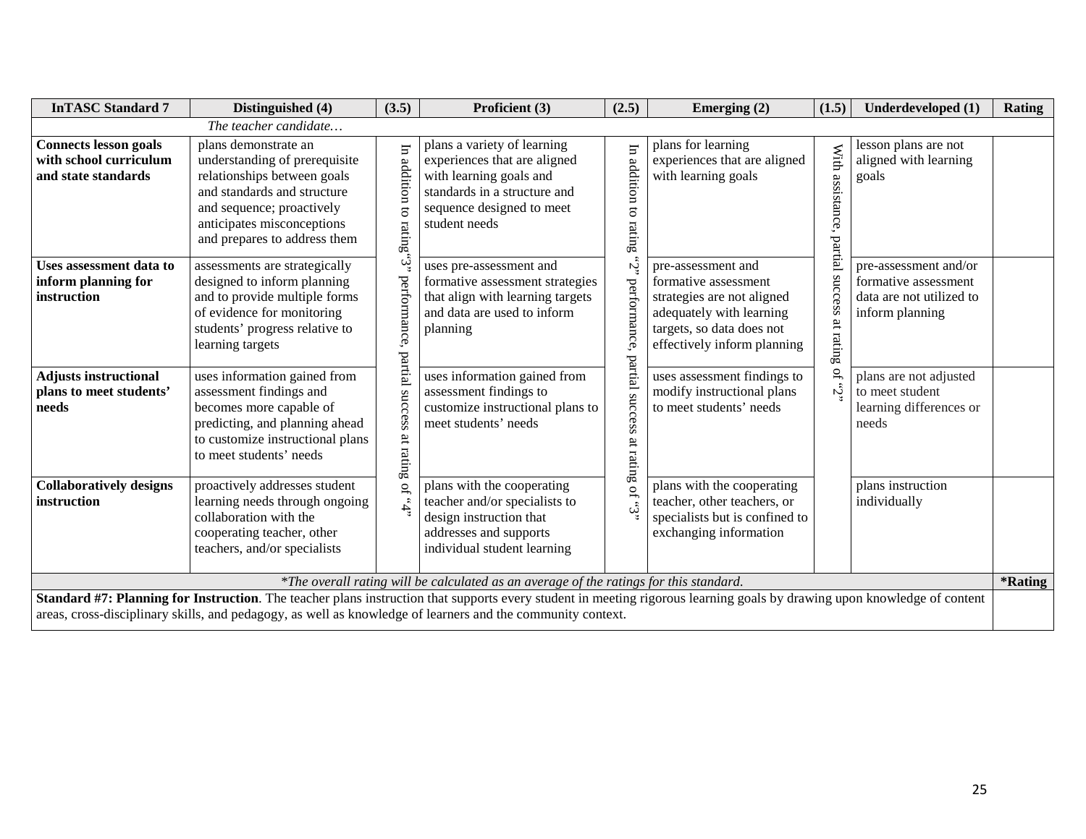| <b>InTASC Standard 7</b>                                                                                                          | Distinguished (4)                                                                                                                                                                                                                                                                                                                                                        | (3.5)                                                               | Proficient (3)                                                                                                                                                                                                                                                                          | (2.5)                                                    | Emerging $(2)$                                                                                                                                                                                                                                           | (1.5)                                                           | Underdeveloped (1)                                                                                                                                                            | Rating |
|-----------------------------------------------------------------------------------------------------------------------------------|--------------------------------------------------------------------------------------------------------------------------------------------------------------------------------------------------------------------------------------------------------------------------------------------------------------------------------------------------------------------------|---------------------------------------------------------------------|-----------------------------------------------------------------------------------------------------------------------------------------------------------------------------------------------------------------------------------------------------------------------------------------|----------------------------------------------------------|----------------------------------------------------------------------------------------------------------------------------------------------------------------------------------------------------------------------------------------------------------|-----------------------------------------------------------------|-------------------------------------------------------------------------------------------------------------------------------------------------------------------------------|--------|
|                                                                                                                                   | The teacher candidate                                                                                                                                                                                                                                                                                                                                                    |                                                                     |                                                                                                                                                                                                                                                                                         |                                                          |                                                                                                                                                                                                                                                          |                                                                 |                                                                                                                                                                               |        |
| <b>Connects lesson goals</b><br>with school curriculum<br>and state standards                                                     | plans demonstrate an<br>understanding of prerequisite<br>relationships between goals<br>and standards and structure<br>and sequence; proactively<br>anticipates misconceptions<br>and prepares to address them                                                                                                                                                           | $\Xi$<br>addition<br>៩<br>rating"3"                                 | plans a variety of learning<br>experiences that are aligned<br>with learning goals and<br>standards in a structure and<br>sequence designed to meet<br>student needs                                                                                                                    | Ē<br>addition<br>$\Xi$<br>rating                         | plans for learning<br>experiences that are aligned<br>with learning goals                                                                                                                                                                                | With<br>assistance<br>partial                                   | lesson plans are not<br>aligned with learning<br>goals                                                                                                                        |        |
| Uses assessment data to<br>inform planning for<br>instruction<br><b>Adjusts instructional</b><br>plans to meet students'<br>needs | assessments are strategically<br>designed to inform planning<br>and to provide multiple forms<br>of evidence for monitoring<br>students' progress relative to<br>learning targets<br>uses information gained from<br>assessment findings and<br>becomes more capable of<br>predicting, and planning ahead<br>to customize instructional plans<br>to meet students' needs | perfo<br>nance,<br>Бą<br>$\bar{\mathbf{e}}$<br>success<br>at rating | uses pre-assessment and<br>formative assessment strategies<br>that align with learning targets<br>and data are used to inform<br>planning<br>uses information gained from<br>assessment findings to<br>customize instructional plans to<br>meet students' needs                         | Ņ<br>perforn<br>mance<br>partial<br>success<br>at rating | pre-assessment and<br>formative assessment<br>strategies are not aligned<br>adequately with learning<br>targets, so data does not<br>effectively inform planning<br>uses assessment findings to<br>modify instructional plans<br>to meet students' needs | snccess<br>$\overline{\mathrm{a}}$<br>$\sinh$<br>$\Omega$<br>Ĉ, | pre-assessment and/or<br>formative assessment<br>data are not utilized to<br>inform planning<br>plans are not adjusted<br>to meet student<br>learning differences or<br>needs |        |
| <b>Collaboratively designs</b><br>instruction                                                                                     | proactively addresses student<br>learning needs through ongoing<br>collaboration with the<br>cooperating teacher, other<br>teachers, and/or specialists                                                                                                                                                                                                                  | .5, 0                                                               | plans with the cooperating<br>teacher and/or specialists to<br>design instruction that<br>addresses and supports<br>individual student learning                                                                                                                                         | $\overline{a}$<br>نى.<br>ئ                               | plans with the cooperating<br>teacher, other teachers, or<br>specialists but is confined to<br>exchanging information                                                                                                                                    |                                                                 | plans instruction<br>individually                                                                                                                                             |        |
| *The overall rating will be calculated as an average of the ratings for this standard.                                            |                                                                                                                                                                                                                                                                                                                                                                          |                                                                     |                                                                                                                                                                                                                                                                                         |                                                          |                                                                                                                                                                                                                                                          |                                                                 |                                                                                                                                                                               |        |
|                                                                                                                                   |                                                                                                                                                                                                                                                                                                                                                                          |                                                                     | Standard #7: Planning for Instruction. The teacher plans instruction that supports every student in meeting rigorous learning goals by drawing upon knowledge of content<br>areas, cross-disciplinary skills, and pedagogy, as well as knowledge of learners and the community context. |                                                          |                                                                                                                                                                                                                                                          |                                                                 |                                                                                                                                                                               |        |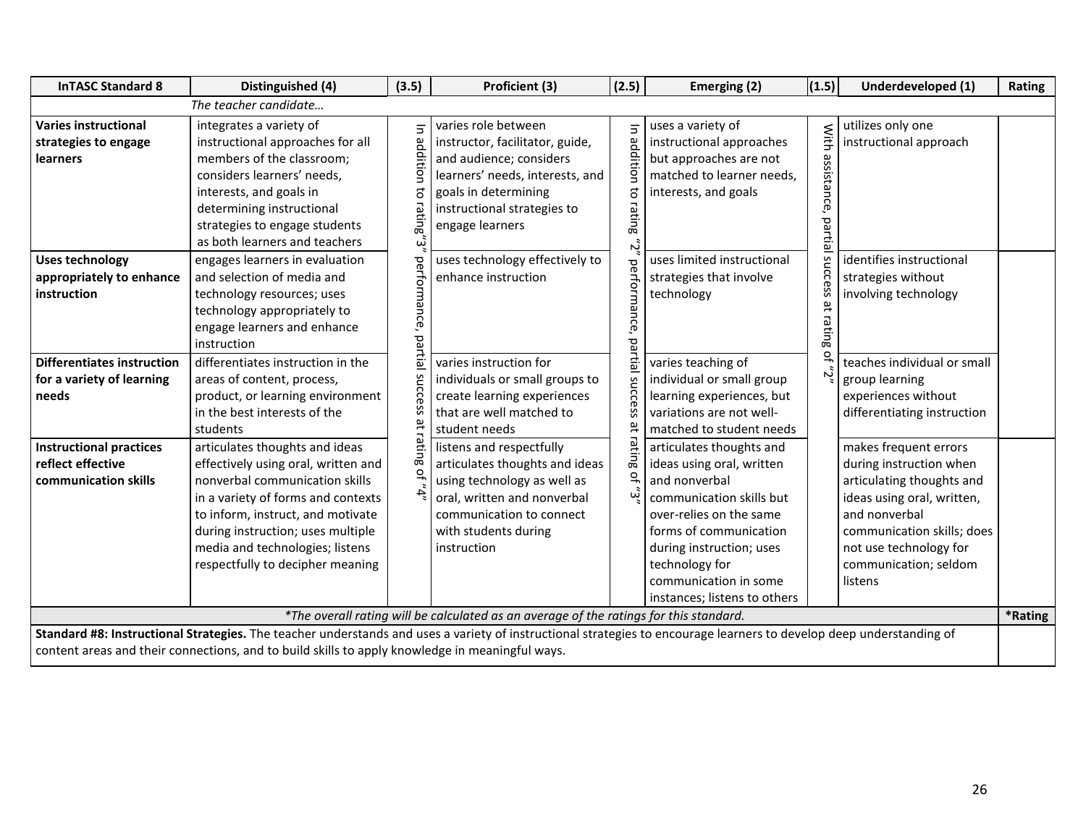| <b>InTASC Standard 8</b>                                                                                              | Distinguished (4)                                                                                                                                                                                                                                                                                                | (3.5)                                                              | Proficient (3)                                                                                                                                                                                                                                          | (2.5)                                               | Emerging (2)                                                                                                                                                                                                                                                   | (1.5)                                  | Underdeveloped (1)                                                                                                                                                                                                       | Rating  |
|-----------------------------------------------------------------------------------------------------------------------|------------------------------------------------------------------------------------------------------------------------------------------------------------------------------------------------------------------------------------------------------------------------------------------------------------------|--------------------------------------------------------------------|---------------------------------------------------------------------------------------------------------------------------------------------------------------------------------------------------------------------------------------------------------|-----------------------------------------------------|----------------------------------------------------------------------------------------------------------------------------------------------------------------------------------------------------------------------------------------------------------------|----------------------------------------|--------------------------------------------------------------------------------------------------------------------------------------------------------------------------------------------------------------------------|---------|
|                                                                                                                       | The teacher candidate                                                                                                                                                                                                                                                                                            |                                                                    |                                                                                                                                                                                                                                                         |                                                     |                                                                                                                                                                                                                                                                |                                        |                                                                                                                                                                                                                          |         |
| <b>Varies instructional</b><br>strategies to engage<br>learners<br><b>Uses technology</b><br>appropriately to enhance | integrates a variety of<br>instructional approaches for all<br>members of the classroom;<br>considers learners' needs,<br>interests, and goals in<br>determining instructional<br>strategies to engage students<br>as both learners and teachers<br>engages learners in evaluation<br>and selection of media and | $\overline{5}$<br>addition<br>$\overline{\mathtt{c}}$<br>rating"3" | varies role between<br>instructor, facilitator, guide,<br>and audience; considers<br>learners' needs, interests, and<br>goals in determining<br>instructional strategies to<br>engage learners<br>uses technology effectively to<br>enhance instruction | $\overline{z}$<br>addition<br>đ<br>rating<br>ふ      | uses a variety of<br>instructional approaches<br>but approaches are not<br>matched to learner needs,<br>interests, and goals<br>uses limited instructional<br>strategies that involve                                                                          | With<br>assistance, partial<br>success | utilizes only one<br>instructional approach<br>identifies instructional<br>strategies without                                                                                                                            |         |
| instruction<br><b>Differentiates instruction</b><br>for a variety of learning<br>needs                                | technology resources; uses<br>technology appropriately to<br>engage learners and enhance<br>instruction<br>differentiates instruction in the<br>areas of content, process,<br>product, or learning environment<br>in the best interests of the<br>students                                                       | performance, partial success at rating of "4"                      | varies instruction for<br>individuals or small groups to<br>create learning experiences<br>that are well matched to<br>student needs                                                                                                                    | performance,<br>ρg<br>rtial success<br>$\bf \omega$ | technology<br>varies teaching of<br>individual or small group<br>learning experiences, but<br>variations are not well-<br>matched to student needs                                                                                                             | at rating<br>بہ                        | involving technology<br>teaches individual or small<br>group learning<br>experiences without<br>differentiating instruction                                                                                              |         |
| <b>Instructional practices</b><br>reflect effective<br>communication skills                                           | articulates thoughts and ideas<br>effectively using oral, written and<br>nonverbal communication skills<br>in a variety of forms and contexts<br>to inform, instruct, and motivate<br>during instruction; uses multiple<br>media and technologies; listens<br>respectfully to decipher meaning                   |                                                                    | listens and respectfully<br>articulates thoughts and ideas<br>using technology as well as<br>oral, written and nonverbal<br>communication to connect<br>with students during<br>instruction                                                             | rating<br>$\overline{O}$<br>نى                      | articulates thoughts and<br>ideas using oral, written<br>and nonverbal<br>communication skills but<br>over-relies on the same<br>forms of communication<br>during instruction; uses<br>technology for<br>communication in some<br>instances; listens to others |                                        | makes frequent errors<br>during instruction when<br>articulating thoughts and<br>ideas using oral, written,<br>and nonverbal<br>communication skills; does<br>not use technology for<br>communication; seldom<br>listens |         |
|                                                                                                                       |                                                                                                                                                                                                                                                                                                                  |                                                                    | *The overall rating will be calculated as an average of the ratings for this standard.                                                                                                                                                                  |                                                     |                                                                                                                                                                                                                                                                |                                        |                                                                                                                                                                                                                          | *Rating |
|                                                                                                                       | Standard #8: Instructional Strategies. The teacher understands and uses a variety of instructional strategies to encourage learners to develop deep understanding of<br>content areas and their connections, and to build skills to apply knowledge in meaningful ways.                                          |                                                                    |                                                                                                                                                                                                                                                         |                                                     |                                                                                                                                                                                                                                                                |                                        |                                                                                                                                                                                                                          |         |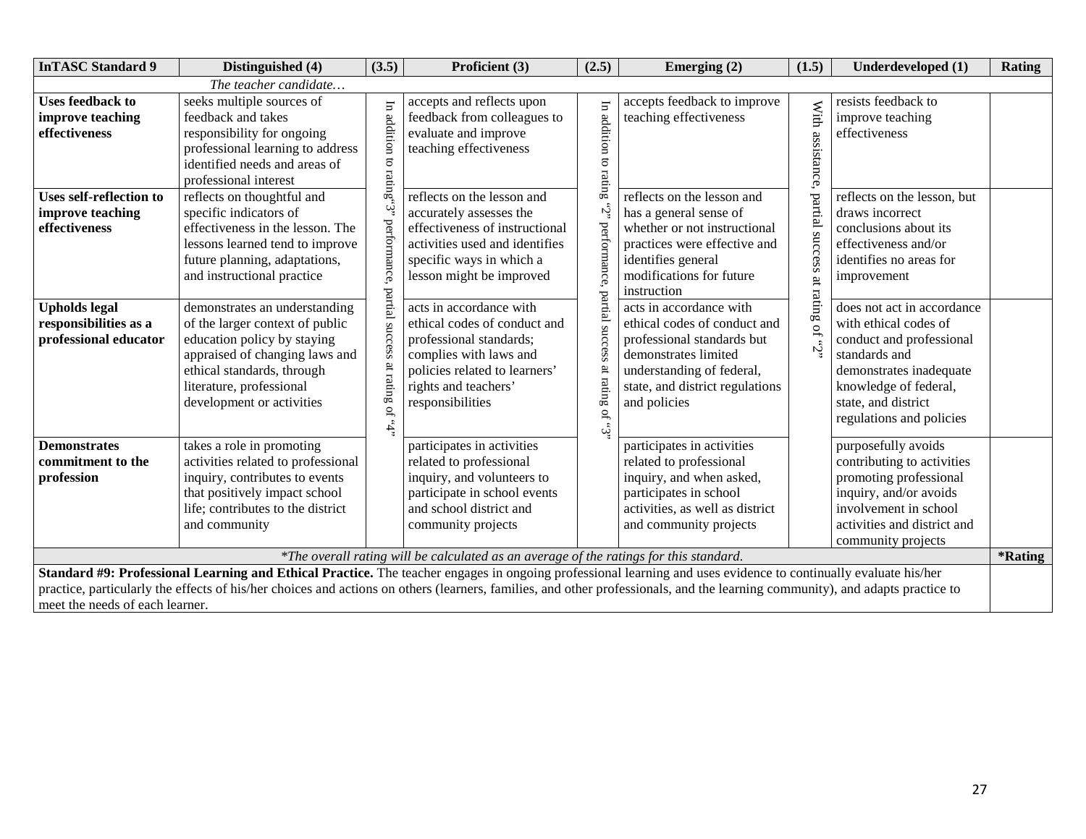| <b>InTASC Standard 9</b>                                                                                                                                                                                                                                                                                                                                                                                                                                                      | Distinguished (4)                                                                                                                                                                                                        | (3.5)                         | Proficient (3)                                                                                                                                                                            | (2.5)                                          | Emerging $(2)$                                                                                                                                                                                | (1.5)                                                     | Underdeveloped (1)                                                                                                                                                                                      | Rating                |
|-------------------------------------------------------------------------------------------------------------------------------------------------------------------------------------------------------------------------------------------------------------------------------------------------------------------------------------------------------------------------------------------------------------------------------------------------------------------------------|--------------------------------------------------------------------------------------------------------------------------------------------------------------------------------------------------------------------------|-------------------------------|-------------------------------------------------------------------------------------------------------------------------------------------------------------------------------------------|------------------------------------------------|-----------------------------------------------------------------------------------------------------------------------------------------------------------------------------------------------|-----------------------------------------------------------|---------------------------------------------------------------------------------------------------------------------------------------------------------------------------------------------------------|-----------------------|
|                                                                                                                                                                                                                                                                                                                                                                                                                                                                               | The teacher candidate                                                                                                                                                                                                    |                               |                                                                                                                                                                                           |                                                |                                                                                                                                                                                               |                                                           |                                                                                                                                                                                                         |                       |
| <b>Uses feedback to</b><br>improve teaching<br>effectiveness                                                                                                                                                                                                                                                                                                                                                                                                                  | seeks multiple sources of<br>feedback and takes<br>responsibility for ongoing<br>professional learning to address<br>identified needs and areas of<br>professional interest                                              | In addition<br>"S"ing"3"      | accepts and reflects upon<br>feedback from colleagues to<br>evaluate and improve<br>teaching effectiveness                                                                                | F<br>addition<br>$\overline{\sigma}$<br>rating | accepts feedback to improve<br>teaching effectiveness                                                                                                                                         | With<br>assistance                                        | resists feedback to<br>improve teaching<br>effectiveness                                                                                                                                                |                       |
| <b>Uses self-reflection to</b><br>improve teaching<br>effectiveness                                                                                                                                                                                                                                                                                                                                                                                                           | reflects on thoughtful and<br>specific indicators of<br>effectiveness in the lesson. The<br>lessons learned tend to improve<br>future planning, adaptations,<br>and instructional practice                               | performance, partial          | reflects on the lesson and<br>accurately assesses the<br>effectiveness of instructional<br>activities used and identifies<br>specific ways in which a<br>lesson might be improved         | <b>be</b><br>part                              | reflects on the lesson and<br>has a general sense of<br>whether or not instructional<br>practices were effective and<br>identifies general<br>modifications for future<br>instruction         | partial<br>ns<br>iccess<br>ă                              | reflects on the lesson, but<br>draws incorrect<br>conclusions about its<br>effectiveness and/or<br>identifies no areas for<br>improvement                                                               |                       |
| <b>Upholds legal</b><br>responsibilities as a<br>professional educator                                                                                                                                                                                                                                                                                                                                                                                                        | demonstrates an understanding<br>of the larger context of public<br>education policy by staying<br>appraised of changing laws and<br>ethical standards, through<br>literature, professional<br>development or activities | success<br>ള<br>rating of "4" | acts in accordance with<br>ethical codes of conduct and<br>professional standards;<br>complies with laws and<br>policies related to learners'<br>rights and teachers'<br>responsibilities | rating<br>$\xi,$ $\ni$                         | acts in accordance with<br>ethical codes of conduct and<br>professional standards but<br>demonstrates limited<br>understanding of federal,<br>state, and district regulations<br>and policies | $\mathop{\mathrm{ratin}}\nolimits$<br>$\mathbf{G}$<br>نى: | does not act in accordance<br>with ethical codes of<br>conduct and professional<br>standards and<br>demonstrates inadequate<br>knowledge of federal,<br>state, and district<br>regulations and policies |                       |
| <b>Demonstrates</b><br>commitment to the<br>profession                                                                                                                                                                                                                                                                                                                                                                                                                        | takes a role in promoting<br>activities related to professional<br>inquiry, contributes to events<br>that positively impact school<br>life; contributes to the district<br>and community                                 |                               | participates in activities<br>related to professional<br>inquiry, and volunteers to<br>participate in school events<br>and school district and<br>community projects                      |                                                | participates in activities<br>related to professional<br>inquiry, and when asked,<br>participates in school<br>activities, as well as district<br>and community projects                      |                                                           | purposefully avoids<br>contributing to activities<br>promoting professional<br>inquiry, and/or avoids<br>involvement in school<br>activities and district and<br>community projects                     | <i><b>*Rating</b></i> |
| *The overall rating will be calculated as an average of the ratings for this standard.<br>Standard #9: Professional Learning and Ethical Practice. The teacher engages in ongoing professional learning and uses evidence to continually evaluate his/her<br>practice, particularly the effects of his/her choices and actions on others (learners, families, and other professionals, and the learning community), and adapts practice to<br>meet the needs of each learner. |                                                                                                                                                                                                                          |                               |                                                                                                                                                                                           |                                                |                                                                                                                                                                                               |                                                           |                                                                                                                                                                                                         |                       |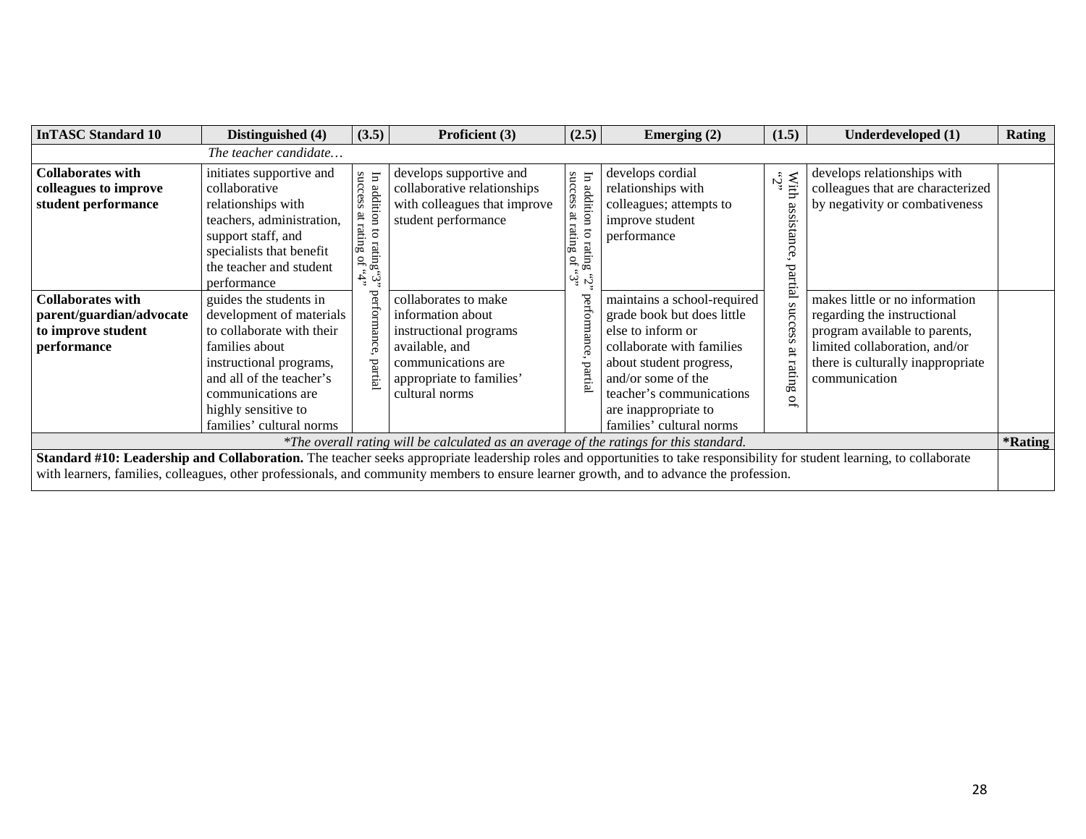| <b>InTASC Standard 10</b>                                                                 | Distinguished (4)                                                                                                                                                                                                                 | (3.5)                                                                         | Proficient (3)                                                                                                                                                                                                                                                                                                              | (2.5)                                                                                  | Emerging $(2)$                                                                                                                                                                                                                               | (1.5)                                             | Underdeveloped (1)                                                                                                                                                                    | <b>Rating</b>         |
|-------------------------------------------------------------------------------------------|-----------------------------------------------------------------------------------------------------------------------------------------------------------------------------------------------------------------------------------|-------------------------------------------------------------------------------|-----------------------------------------------------------------------------------------------------------------------------------------------------------------------------------------------------------------------------------------------------------------------------------------------------------------------------|----------------------------------------------------------------------------------------|----------------------------------------------------------------------------------------------------------------------------------------------------------------------------------------------------------------------------------------------|---------------------------------------------------|---------------------------------------------------------------------------------------------------------------------------------------------------------------------------------------|-----------------------|
|                                                                                           | The teacher candidate                                                                                                                                                                                                             |                                                                               |                                                                                                                                                                                                                                                                                                                             |                                                                                        |                                                                                                                                                                                                                                              |                                                   |                                                                                                                                                                                       |                       |
| <b>Collaborates with</b><br>colleagues to improve<br>student performance                  | initiates supportive and<br>collaborative<br>relationships with<br>teachers, administration,<br>support staff, and<br>specialists that benefit<br>the teacher and student<br>performance                                          | In addit<br>success<br>$\mathop{\rm gmin}\nolimits$<br>rating<br>ng of<br>«٦, | develops supportive and<br>collaborative relationships<br>with colleagues that improve<br>student performance                                                                                                                                                                                                               | success at rating<br>$\Xi$<br>additi<br>ē<br>$\epsilon$<br>rating<br>ng of<br>ર્ખ, ખું | develops cordial<br>relationships with<br>colleagues; attempts to<br>improve student<br>performance                                                                                                                                          | نې.<br>.<br>With<br>assistanc<br>Œ<br>$rac{1}{2}$ | develops relationships with<br>colleagues that are characterized<br>by negativity or combativeness                                                                                    |                       |
| <b>Collaborates with</b><br>parent/guardian/advocate<br>to improve student<br>performance | guides the students in<br>development of materials<br>to collaborate with their<br>families about<br>instructional programs,<br>and all of the teacher's<br>communications are<br>highly sensitive to<br>families' cultural norms | perfo<br>$_{\rm part}$                                                        | collaborates to make<br>information about<br>instructional programs<br>available, and<br>communications are<br>appropriate to families'<br>cultural norms                                                                                                                                                                   | pertormance<br>partia                                                                  | maintains a school-required<br>grade book but does little<br>else to inform or<br>collaborate with families<br>about student progress,<br>and/or some of the<br>teacher's communications<br>are inappropriate to<br>families' cultural norms | ncces<br>ض<br>ă<br>rating<br>P)                   | makes little or no information<br>regarding the instructional<br>program available to parents,<br>limited collaboration, and/or<br>there is culturally inappropriate<br>communication |                       |
|                                                                                           |                                                                                                                                                                                                                                   |                                                                               | *The overall rating will be calculated as an average of the ratings for this standard.                                                                                                                                                                                                                                      |                                                                                        |                                                                                                                                                                                                                                              |                                                   |                                                                                                                                                                                       | <i><b>*Rating</b></i> |
|                                                                                           |                                                                                                                                                                                                                                   |                                                                               | <b>Standard #10: Leadership and Collaboration.</b> The teacher seeks appropriate leadership roles and opportunities to take responsibility for student learning, to collaborate<br>with learners, families, colleagues, other professionals, and community members to ensure learner growth, and to advance the profession. |                                                                                        |                                                                                                                                                                                                                                              |                                                   |                                                                                                                                                                                       |                       |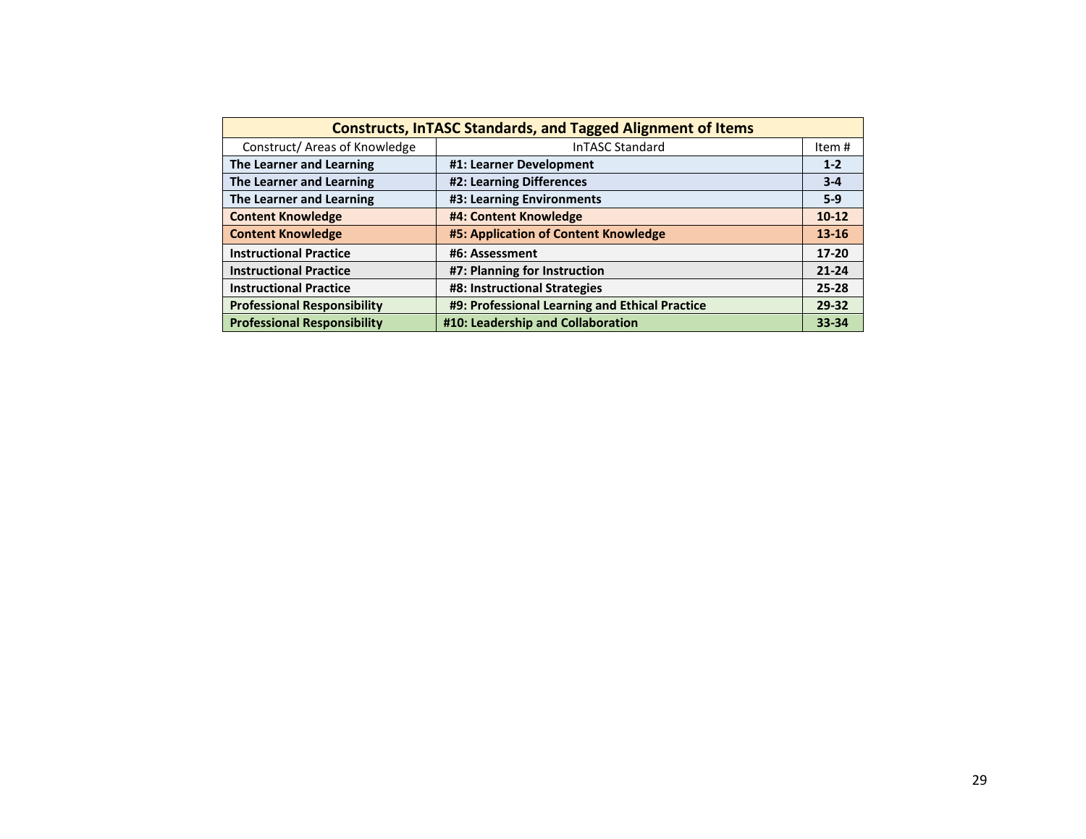| <b>Constructs, InTASC Standards, and Tagged Alignment of Items</b> |                                                |           |  |  |  |  |  |
|--------------------------------------------------------------------|------------------------------------------------|-----------|--|--|--|--|--|
| Construct/ Areas of Knowledge                                      | InTASC Standard                                | Item #    |  |  |  |  |  |
| The Learner and Learning                                           | #1: Learner Development                        | $1 - 2$   |  |  |  |  |  |
| The Learner and Learning                                           | #2: Learning Differences                       | $3 - 4$   |  |  |  |  |  |
| The Learner and Learning                                           | #3: Learning Environments                      | $5-9$     |  |  |  |  |  |
| <b>Content Knowledge</b>                                           | #4: Content Knowledge                          | $10 - 12$ |  |  |  |  |  |
| <b>Content Knowledge</b>                                           | #5: Application of Content Knowledge           | $13 - 16$ |  |  |  |  |  |
| <b>Instructional Practice</b>                                      | #6: Assessment                                 | $17 - 20$ |  |  |  |  |  |
| <b>Instructional Practice</b>                                      | #7: Planning for Instruction                   | $21 - 24$ |  |  |  |  |  |
| <b>Instructional Practice</b>                                      | #8: Instructional Strategies                   | $25 - 28$ |  |  |  |  |  |
| <b>Professional Responsibility</b>                                 | #9: Professional Learning and Ethical Practice | 29-32     |  |  |  |  |  |
| <b>Professional Responsibility</b>                                 | #10: Leadership and Collaboration              | 33-34     |  |  |  |  |  |